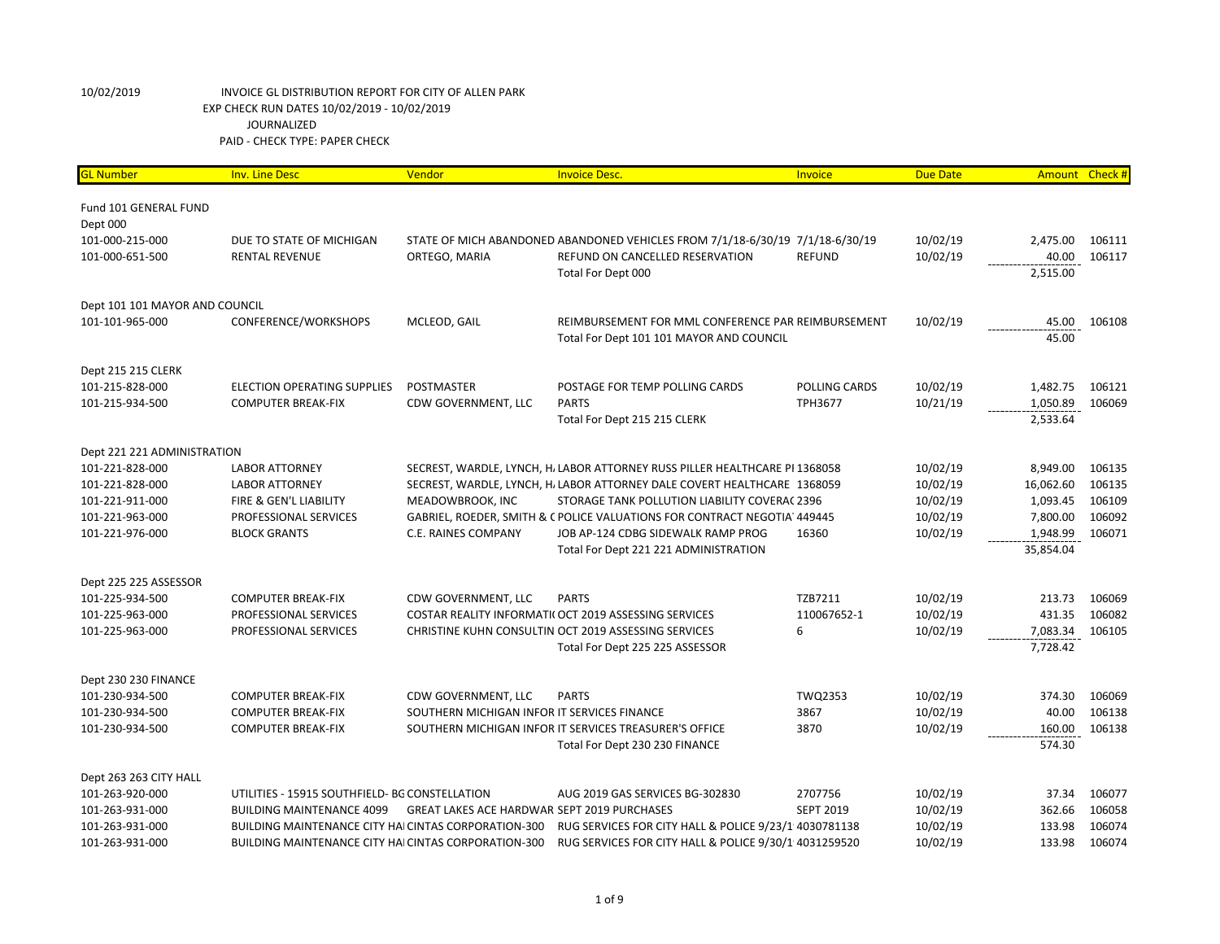| <b>GL Number</b>               | <b>Inv. Line Desc</b>                                | Vendor                                             | <b>Invoice Desc.</b>                                                          | Invoice          | <b>Due Date</b> | <b>Amount</b> | Check# |
|--------------------------------|------------------------------------------------------|----------------------------------------------------|-------------------------------------------------------------------------------|------------------|-----------------|---------------|--------|
| Fund 101 GENERAL FUND          |                                                      |                                                    |                                                                               |                  |                 |               |        |
| Dept 000                       |                                                      |                                                    |                                                                               |                  |                 |               |        |
| 101-000-215-000                | DUE TO STATE OF MICHIGAN                             |                                                    | STATE OF MICH ABANDONED ABANDONED VEHICLES FROM 7/1/18-6/30/19 7/1/18-6/30/19 |                  | 10/02/19        | 2,475.00      | 106111 |
| 101-000-651-500                | <b>RENTAL REVENUE</b>                                | ORTEGO, MARIA                                      | REFUND ON CANCELLED RESERVATION                                               | <b>REFUND</b>    | 10/02/19        | 40.00         | 106117 |
|                                |                                                      |                                                    | Total For Dept 000                                                            |                  |                 | 2,515.00      |        |
| Dept 101 101 MAYOR AND COUNCIL |                                                      |                                                    |                                                                               |                  |                 |               |        |
| 101-101-965-000                | CONFERENCE/WORKSHOPS                                 | MCLEOD, GAIL                                       | REIMBURSEMENT FOR MML CONFERENCE PAR REIMBURSEMENT                            |                  | 10/02/19        | 45.00         | 106108 |
|                                |                                                      |                                                    | Total For Dept 101 101 MAYOR AND COUNCIL                                      |                  |                 | 45.00         |        |
| Dept 215 215 CLERK             |                                                      |                                                    |                                                                               |                  |                 |               |        |
| 101-215-828-000                | <b>ELECTION OPERATING SUPPLIES</b>                   | <b>POSTMASTER</b>                                  | POSTAGE FOR TEMP POLLING CARDS                                                | POLLING CARDS    | 10/02/19        | 1,482.75      | 106121 |
| 101-215-934-500                | <b>COMPUTER BREAK-FIX</b>                            | CDW GOVERNMENT, LLC                                | <b>PARTS</b>                                                                  | TPH3677          | 10/21/19        | 1,050.89      | 106069 |
|                                |                                                      |                                                    | Total For Dept 215 215 CLERK                                                  |                  |                 | 2,533.64      |        |
| Dept 221 221 ADMINISTRATION    |                                                      |                                                    |                                                                               |                  |                 |               |        |
| 101-221-828-000                | <b>LABOR ATTORNEY</b>                                |                                                    | SECREST, WARDLE, LYNCH, H. LABOR ATTORNEY RUSS PILLER HEALTHCARE PI 1368058   |                  | 10/02/19        | 8,949.00      | 106135 |
| 101-221-828-000                | <b>LABOR ATTORNEY</b>                                |                                                    | SECREST, WARDLE, LYNCH, H, LABOR ATTORNEY DALE COVERT HEALTHCARE 1368059      |                  | 10/02/19        | 16,062.60     | 106135 |
| 101-221-911-000                | FIRE & GEN'L LIABILITY                               | MEADOWBROOK, INC                                   | STORAGE TANK POLLUTION LIABILITY COVERA(2396                                  |                  | 10/02/19        | 1,093.45      | 106109 |
| 101-221-963-000                | PROFESSIONAL SERVICES                                |                                                    | GABRIEL, ROEDER, SMITH & C POLICE VALUATIONS FOR CONTRACT NEGOTIA 449445      |                  | 10/02/19        | 7,800.00      | 106092 |
| 101-221-976-000                | <b>BLOCK GRANTS</b>                                  | C.E. RAINES COMPANY                                | JOB AP-124 CDBG SIDEWALK RAMP PROG                                            | 16360            | 10/02/19        | 1,948.99      | 106071 |
|                                |                                                      |                                                    | Total For Dept 221 221 ADMINISTRATION                                         |                  |                 | 35,854.04     |        |
| Dept 225 225 ASSESSOR          |                                                      |                                                    |                                                                               |                  |                 |               |        |
| 101-225-934-500                | <b>COMPUTER BREAK-FIX</b>                            | CDW GOVERNMENT, LLC                                | <b>PARTS</b>                                                                  | TZB7211          | 10/02/19        | 213.73        | 106069 |
| 101-225-963-000                | PROFESSIONAL SERVICES                                |                                                    | COSTAR REALITY INFORMATI( OCT 2019 ASSESSING SERVICES                         | 110067652-1      | 10/02/19        | 431.35        | 106082 |
| 101-225-963-000                | PROFESSIONAL SERVICES                                |                                                    | CHRISTINE KUHN CONSULTIN OCT 2019 ASSESSING SERVICES                          | 6                | 10/02/19        | 7,083.34      | 106105 |
|                                |                                                      |                                                    | Total For Dept 225 225 ASSESSOR                                               |                  |                 | 7,728.42      |        |
| Dept 230 230 FINANCE           |                                                      |                                                    |                                                                               |                  |                 |               |        |
| 101-230-934-500                | <b>COMPUTER BREAK-FIX</b>                            | CDW GOVERNMENT, LLC                                | <b>PARTS</b>                                                                  | TWQ2353          | 10/02/19        | 374.30        | 106069 |
| 101-230-934-500                | <b>COMPUTER BREAK-FIX</b>                            | SOUTHERN MICHIGAN INFOR IT SERVICES FINANCE        |                                                                               | 3867             | 10/02/19        | 40.00         | 106138 |
| 101-230-934-500                | <b>COMPUTER BREAK-FIX</b>                            |                                                    | SOUTHERN MICHIGAN INFOR IT SERVICES TREASURER'S OFFICE                        | 3870             | 10/02/19        | 160.00        | 106138 |
|                                |                                                      |                                                    | Total For Dept 230 230 FINANCE                                                |                  |                 | 574.30        |        |
| Dept 263 263 CITY HALL         |                                                      |                                                    |                                                                               |                  |                 |               |        |
| 101-263-920-000                | UTILITIES - 15915 SOUTHFIELD- BG CONSTELLATION       |                                                    | AUG 2019 GAS SERVICES BG-302830                                               | 2707756          | 10/02/19        | 37.34         | 106077 |
| 101-263-931-000                | <b>BUILDING MAINTENANCE 4099</b>                     | <b>GREAT LAKES ACE HARDWAR SEPT 2019 PURCHASES</b> |                                                                               | <b>SEPT 2019</b> | 10/02/19        | 362.66        | 106058 |
| 101-263-931-000                | BUILDING MAINTENANCE CITY HAI CINTAS CORPORATION-300 |                                                    | RUG SERVICES FOR CITY HALL & POLICE 9/23/1 4030781138                         |                  | 10/02/19        | 133.98        | 106074 |
| 101-263-931-000                | BUILDING MAINTENANCE CITY HAI CINTAS CORPORATION-300 |                                                    | RUG SERVICES FOR CITY HALL & POLICE 9/30/1 4031259520                         |                  | 10/02/19        | 133.98        | 106074 |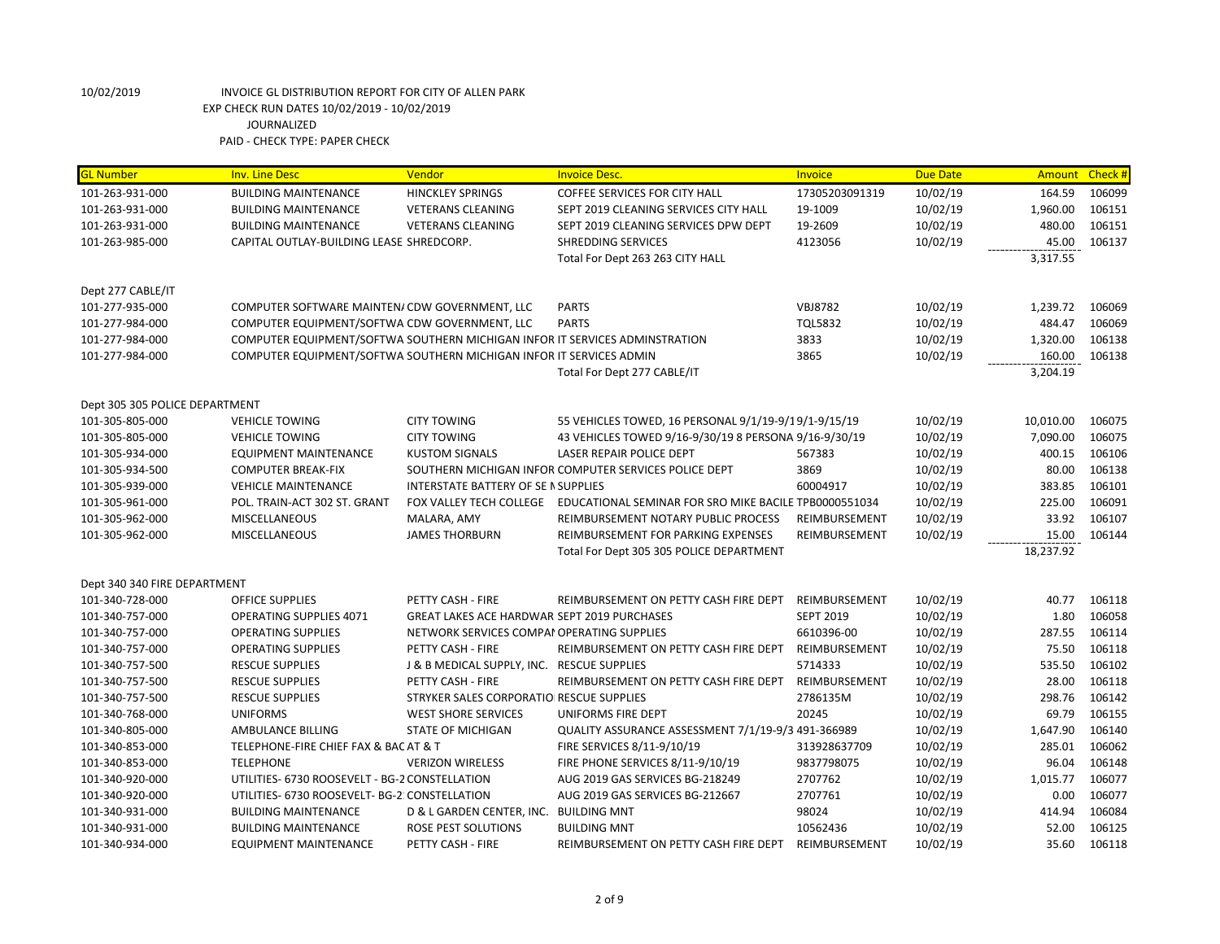| <b>HINCKLEY SPRINGS</b><br>106099<br>101-263-931-000<br><b>BUILDING MAINTENANCE</b><br><b>COFFEE SERVICES FOR CITY HALL</b><br>17305203091319<br>10/02/19<br>164.59<br>19-1009<br>10/02/19<br>1,960.00<br>106151<br>101-263-931-000<br><b>BUILDING MAINTENANCE</b><br><b>VETERANS CLEANING</b><br>SEPT 2019 CLEANING SERVICES CITY HALL<br>19-2609<br>10/02/19<br>480.00<br>106151<br>101-263-931-000<br><b>BUILDING MAINTENANCE</b><br><b>VETERANS CLEANING</b><br>SEPT 2019 CLEANING SERVICES DPW DEPT<br>45.00<br>106137<br>CAPITAL OUTLAY-BUILDING LEASE SHREDCORP.<br><b>SHREDDING SERVICES</b><br>4123056<br>10/02/19<br>101-263-985-000<br>3,317.55<br>Total For Dept 263 263 CITY HALL<br>Dept 277 CABLE/IT<br><b>PARTS</b><br><b>VBJ8782</b><br>106069<br>101-277-935-000<br>COMPUTER SOFTWARE MAINTEN/CDW GOVERNMENT, LLC<br>10/02/19<br>1,239.72<br><b>PARTS</b><br><b>TQL5832</b><br>10/02/19<br>484.47<br>106069<br>101-277-984-000<br>COMPUTER EQUIPMENT/SOFTWA CDW GOVERNMENT, LLC<br>COMPUTER EQUIPMENT/SOFTWA SOUTHERN MICHIGAN INFOR IT SERVICES ADMINSTRATION<br>1,320.00<br>106138<br>101-277-984-000<br>3833<br>10/02/19<br>160.00<br>106138<br>101-277-984-000<br>COMPUTER EQUIPMENT/SOFTWA SOUTHERN MICHIGAN INFOR IT SERVICES ADMIN<br>3865<br>10/02/19<br>Total For Dept 277 CABLE/IT<br>3,204.19<br>Dept 305 305 POLICE DEPARTMENT<br>10,010.00<br>106075<br>101-305-805-000<br><b>VEHICLE TOWING</b><br><b>CITY TOWING</b><br>55 VEHICLES TOWED, 16 PERSONAL 9/1/19-9/19/1-9/15/19<br>10/02/19<br>10/02/19<br>7,090.00<br>106075<br>101-305-805-000<br><b>VEHICLE TOWING</b><br><b>CITY TOWING</b><br>43 VEHICLES TOWED 9/16-9/30/19 8 PERSONA 9/16-9/30/19<br>LASER REPAIR POLICE DEPT<br>10/02/19<br>400.15<br>106106<br>101-305-934-000<br><b>EQUIPMENT MAINTENANCE</b><br><b>KUSTOM SIGNALS</b><br>567383<br>3869<br>80.00<br>106138<br>SOUTHERN MICHIGAN INFOR COMPUTER SERVICES POLICE DEPT<br>10/02/19<br>101-305-934-500<br><b>COMPUTER BREAK-FIX</b><br>60004917<br>10/02/19<br>383.85<br>106101<br>INTERSTATE BATTERY OF SE IN SUPPLIES<br>101-305-939-000<br><b>VEHICLE MAINTENANCE</b><br>225.00<br>106091<br>101-305-961-000<br>POL. TRAIN-ACT 302 ST. GRANT<br>FOX VALLEY TECH COLLEGE EDUCATIONAL SEMINAR FOR SRO MIKE BACILE TPB0000551034<br>10/02/19<br>33.92<br>106107<br>MALARA, AMY<br>10/02/19<br>101-305-962-000<br><b>MISCELLANEOUS</b><br>REIMBURSEMENT NOTARY PUBLIC PROCESS<br>REIMBURSEMENT<br>10/02/19<br>15.00<br>106144<br>101-305-962-000<br><b>MISCELLANEOUS</b><br><b>JAMES THORBURN</b><br>REIMBURSEMENT FOR PARKING EXPENSES<br>REIMBURSEMENT<br>Total For Dept 305 305 POLICE DEPARTMENT<br>18,237.92<br>Dept 340 340 FIRE DEPARTMENT<br>10/02/19<br>40.77<br>106118<br>101-340-728-000<br><b>OFFICE SUPPLIES</b><br>PETTY CASH - FIRE<br>REIMBURSEMENT ON PETTY CASH FIRE DEPT<br>REIMBURSEMENT<br>GREAT LAKES ACE HARDWAR SEPT 2019 PURCHASES<br><b>SEPT 2019</b><br>10/02/19<br>1.80<br>106058<br>101-340-757-000<br><b>OPERATING SUPPLIES 4071</b><br>10/02/19<br>287.55<br>106114<br><b>OPERATING SUPPLIES</b><br>NETWORK SERVICES COMPAI OPERATING SUPPLIES<br>6610396-00<br>101-340-757-000<br>75.50<br>106118<br>PETTY CASH - FIRE<br>REIMBURSEMENT ON PETTY CASH FIRE DEPT<br>REIMBURSEMENT<br>10/02/19<br>101-340-757-000<br><b>OPERATING SUPPLIES</b><br>535.50<br>106102<br>101-340-757-500<br><b>RESCUE SUPPLIES</b><br>J & B MEDICAL SUPPLY, INC. RESCUE SUPPLIES<br>5714333<br>10/02/19<br>28.00<br>106118<br>PETTY CASH - FIRE<br>REIMBURSEMENT<br>10/02/19<br>101-340-757-500<br><b>RESCUE SUPPLIES</b><br>REIMBURSEMENT ON PETTY CASH FIRE DEPT<br>STRYKER SALES CORPORATIO RESCUE SUPPLIES<br>2786135M<br>10/02/19<br>298.76<br>106142<br>101-340-757-500<br><b>RESCUE SUPPLIES</b><br>20245<br>69.79<br>106155<br>101-340-768-000<br><b>UNIFORMS</b><br><b>WEST SHORE SERVICES</b><br>UNIFORMS FIRE DEPT<br>10/02/19<br>1,647.90<br>106140<br>101-340-805-000<br>AMBULANCE BILLING<br><b>STATE OF MICHIGAN</b><br>QUALITY ASSURANCE ASSESSMENT 7/1/19-9/3 491-366989<br>10/02/19<br>106062<br>TELEPHONE-FIRE CHIEF FAX & BAC AT & T<br>10/02/19<br>285.01<br>101-340-853-000<br>FIRE SERVICES 8/11-9/10/19<br>313928637709<br>106148<br><b>TELEPHONE</b><br>10/02/19<br>96.04<br>101-340-853-000<br><b>VERIZON WIRELESS</b><br>FIRE PHONE SERVICES 8/11-9/10/19<br>9837798075<br>1,015.77<br>106077<br>UTILITIES- 6730 ROOSEVELT - BG-2 CONSTELLATION<br>AUG 2019 GAS SERVICES BG-218249<br>2707762<br>10/02/19<br>101-340-920-000<br>2707761<br>106077<br>101-340-920-000<br>UTILITIES- 6730 ROOSEVELT- BG-2: CONSTELLATION<br>AUG 2019 GAS SERVICES BG-212667<br>10/02/19<br>0.00<br>98024<br>414.94<br>106084<br>101-340-931-000<br><b>BUILDING MAINTENANCE</b><br>D & L GARDEN CENTER, INC. BUILDING MNT<br>10/02/19<br>10562436<br>52.00<br>106125<br>101-340-931-000<br><b>BUILDING MAINTENANCE</b><br>ROSE PEST SOLUTIONS<br><b>BUILDING MNT</b><br>10/02/19<br>101-340-934-000<br><b>EQUIPMENT MAINTENANCE</b><br>PETTY CASH - FIRE<br>REIMBURSEMENT ON PETTY CASH FIRE DEPT<br>10/02/19<br>35.60<br>106118<br>REIMBURSEMENT | <b>GL Number</b> | <b>Inv. Line Desc</b> | Vendor | <b>Invoice Desc.</b> | Invoice | <b>Due Date</b> | <b>Amount</b> | Check # |
|--------------------------------------------------------------------------------------------------------------------------------------------------------------------------------------------------------------------------------------------------------------------------------------------------------------------------------------------------------------------------------------------------------------------------------------------------------------------------------------------------------------------------------------------------------------------------------------------------------------------------------------------------------------------------------------------------------------------------------------------------------------------------------------------------------------------------------------------------------------------------------------------------------------------------------------------------------------------------------------------------------------------------------------------------------------------------------------------------------------------------------------------------------------------------------------------------------------------------------------------------------------------------------------------------------------------------------------------------------------------------------------------------------------------------------------------------------------------------------------------------------------------------------------------------------------------------------------------------------------------------------------------------------------------------------------------------------------------------------------------------------------------------------------------------------------------------------------------------------------------------------------------------------------------------------------------------------------------------------------------------------------------------------------------------------------------------------------------------------------------------------------------------------------------------------------------------------------------------------------------------------------------------------------------------------------------------------------------------------------------------------------------------------------------------------------------------------------------------------------------------------------------------------------------------------------------------------------------------------------------------------------------------------------------------------------------------------------------------------------------------------------------------------------------------------------------------------------------------------------------------------------------------------------------------------------------------------------------------------------------------------------------------------------------------------------------------------------------------------------------------------------------------------------------------------------------------------------------------------------------------------------------------------------------------------------------------------------------------------------------------------------------------------------------------------------------------------------------------------------------------------------------------------------------------------------------------------------------------------------------------------------------------------------------------------------------------------------------------------------------------------------------------------------------------------------------------------------------------------------------------------------------------------------------------------------------------------------------------------------------------------------------------------------------------------------------------------------------------------------------------------------------------------------------------------------------------------------------------------------------------------------------------------------------------------------------------------------------------------------------------------------------------------------------------------------------------------------------------------------------------------------------------------------------------------------------------------------------------------------------------------------------------------------------------------------------------------------------------------------------------------------------------------------------------------------------------------------------------------------------------------------------------------------------------------------------------------------------------------------------------------------------------------------------------------------------------------------------------------------------------|------------------|-----------------------|--------|----------------------|---------|-----------------|---------------|---------|
|                                                                                                                                                                                                                                                                                                                                                                                                                                                                                                                                                                                                                                                                                                                                                                                                                                                                                                                                                                                                                                                                                                                                                                                                                                                                                                                                                                                                                                                                                                                                                                                                                                                                                                                                                                                                                                                                                                                                                                                                                                                                                                                                                                                                                                                                                                                                                                                                                                                                                                                                                                                                                                                                                                                                                                                                                                                                                                                                                                                                                                                                                                                                                                                                                                                                                                                                                                                                                                                                                                                                                                                                                                                                                                                                                                                                                                                                                                                                                                                                                                                                                                                                                                                                                                                                                                                                                                                                                                                                                                                                                                                                                                                                                                                                                                                                                                                                                                                                                                                                                                                                                                                          |                  |                       |        |                      |         |                 |               |         |
|                                                                                                                                                                                                                                                                                                                                                                                                                                                                                                                                                                                                                                                                                                                                                                                                                                                                                                                                                                                                                                                                                                                                                                                                                                                                                                                                                                                                                                                                                                                                                                                                                                                                                                                                                                                                                                                                                                                                                                                                                                                                                                                                                                                                                                                                                                                                                                                                                                                                                                                                                                                                                                                                                                                                                                                                                                                                                                                                                                                                                                                                                                                                                                                                                                                                                                                                                                                                                                                                                                                                                                                                                                                                                                                                                                                                                                                                                                                                                                                                                                                                                                                                                                                                                                                                                                                                                                                                                                                                                                                                                                                                                                                                                                                                                                                                                                                                                                                                                                                                                                                                                                                          |                  |                       |        |                      |         |                 |               |         |
|                                                                                                                                                                                                                                                                                                                                                                                                                                                                                                                                                                                                                                                                                                                                                                                                                                                                                                                                                                                                                                                                                                                                                                                                                                                                                                                                                                                                                                                                                                                                                                                                                                                                                                                                                                                                                                                                                                                                                                                                                                                                                                                                                                                                                                                                                                                                                                                                                                                                                                                                                                                                                                                                                                                                                                                                                                                                                                                                                                                                                                                                                                                                                                                                                                                                                                                                                                                                                                                                                                                                                                                                                                                                                                                                                                                                                                                                                                                                                                                                                                                                                                                                                                                                                                                                                                                                                                                                                                                                                                                                                                                                                                                                                                                                                                                                                                                                                                                                                                                                                                                                                                                          |                  |                       |        |                      |         |                 |               |         |
|                                                                                                                                                                                                                                                                                                                                                                                                                                                                                                                                                                                                                                                                                                                                                                                                                                                                                                                                                                                                                                                                                                                                                                                                                                                                                                                                                                                                                                                                                                                                                                                                                                                                                                                                                                                                                                                                                                                                                                                                                                                                                                                                                                                                                                                                                                                                                                                                                                                                                                                                                                                                                                                                                                                                                                                                                                                                                                                                                                                                                                                                                                                                                                                                                                                                                                                                                                                                                                                                                                                                                                                                                                                                                                                                                                                                                                                                                                                                                                                                                                                                                                                                                                                                                                                                                                                                                                                                                                                                                                                                                                                                                                                                                                                                                                                                                                                                                                                                                                                                                                                                                                                          |                  |                       |        |                      |         |                 |               |         |
|                                                                                                                                                                                                                                                                                                                                                                                                                                                                                                                                                                                                                                                                                                                                                                                                                                                                                                                                                                                                                                                                                                                                                                                                                                                                                                                                                                                                                                                                                                                                                                                                                                                                                                                                                                                                                                                                                                                                                                                                                                                                                                                                                                                                                                                                                                                                                                                                                                                                                                                                                                                                                                                                                                                                                                                                                                                                                                                                                                                                                                                                                                                                                                                                                                                                                                                                                                                                                                                                                                                                                                                                                                                                                                                                                                                                                                                                                                                                                                                                                                                                                                                                                                                                                                                                                                                                                                                                                                                                                                                                                                                                                                                                                                                                                                                                                                                                                                                                                                                                                                                                                                                          |                  |                       |        |                      |         |                 |               |         |
|                                                                                                                                                                                                                                                                                                                                                                                                                                                                                                                                                                                                                                                                                                                                                                                                                                                                                                                                                                                                                                                                                                                                                                                                                                                                                                                                                                                                                                                                                                                                                                                                                                                                                                                                                                                                                                                                                                                                                                                                                                                                                                                                                                                                                                                                                                                                                                                                                                                                                                                                                                                                                                                                                                                                                                                                                                                                                                                                                                                                                                                                                                                                                                                                                                                                                                                                                                                                                                                                                                                                                                                                                                                                                                                                                                                                                                                                                                                                                                                                                                                                                                                                                                                                                                                                                                                                                                                                                                                                                                                                                                                                                                                                                                                                                                                                                                                                                                                                                                                                                                                                                                                          |                  |                       |        |                      |         |                 |               |         |
|                                                                                                                                                                                                                                                                                                                                                                                                                                                                                                                                                                                                                                                                                                                                                                                                                                                                                                                                                                                                                                                                                                                                                                                                                                                                                                                                                                                                                                                                                                                                                                                                                                                                                                                                                                                                                                                                                                                                                                                                                                                                                                                                                                                                                                                                                                                                                                                                                                                                                                                                                                                                                                                                                                                                                                                                                                                                                                                                                                                                                                                                                                                                                                                                                                                                                                                                                                                                                                                                                                                                                                                                                                                                                                                                                                                                                                                                                                                                                                                                                                                                                                                                                                                                                                                                                                                                                                                                                                                                                                                                                                                                                                                                                                                                                                                                                                                                                                                                                                                                                                                                                                                          |                  |                       |        |                      |         |                 |               |         |
|                                                                                                                                                                                                                                                                                                                                                                                                                                                                                                                                                                                                                                                                                                                                                                                                                                                                                                                                                                                                                                                                                                                                                                                                                                                                                                                                                                                                                                                                                                                                                                                                                                                                                                                                                                                                                                                                                                                                                                                                                                                                                                                                                                                                                                                                                                                                                                                                                                                                                                                                                                                                                                                                                                                                                                                                                                                                                                                                                                                                                                                                                                                                                                                                                                                                                                                                                                                                                                                                                                                                                                                                                                                                                                                                                                                                                                                                                                                                                                                                                                                                                                                                                                                                                                                                                                                                                                                                                                                                                                                                                                                                                                                                                                                                                                                                                                                                                                                                                                                                                                                                                                                          |                  |                       |        |                      |         |                 |               |         |
|                                                                                                                                                                                                                                                                                                                                                                                                                                                                                                                                                                                                                                                                                                                                                                                                                                                                                                                                                                                                                                                                                                                                                                                                                                                                                                                                                                                                                                                                                                                                                                                                                                                                                                                                                                                                                                                                                                                                                                                                                                                                                                                                                                                                                                                                                                                                                                                                                                                                                                                                                                                                                                                                                                                                                                                                                                                                                                                                                                                                                                                                                                                                                                                                                                                                                                                                                                                                                                                                                                                                                                                                                                                                                                                                                                                                                                                                                                                                                                                                                                                                                                                                                                                                                                                                                                                                                                                                                                                                                                                                                                                                                                                                                                                                                                                                                                                                                                                                                                                                                                                                                                                          |                  |                       |        |                      |         |                 |               |         |
|                                                                                                                                                                                                                                                                                                                                                                                                                                                                                                                                                                                                                                                                                                                                                                                                                                                                                                                                                                                                                                                                                                                                                                                                                                                                                                                                                                                                                                                                                                                                                                                                                                                                                                                                                                                                                                                                                                                                                                                                                                                                                                                                                                                                                                                                                                                                                                                                                                                                                                                                                                                                                                                                                                                                                                                                                                                                                                                                                                                                                                                                                                                                                                                                                                                                                                                                                                                                                                                                                                                                                                                                                                                                                                                                                                                                                                                                                                                                                                                                                                                                                                                                                                                                                                                                                                                                                                                                                                                                                                                                                                                                                                                                                                                                                                                                                                                                                                                                                                                                                                                                                                                          |                  |                       |        |                      |         |                 |               |         |
|                                                                                                                                                                                                                                                                                                                                                                                                                                                                                                                                                                                                                                                                                                                                                                                                                                                                                                                                                                                                                                                                                                                                                                                                                                                                                                                                                                                                                                                                                                                                                                                                                                                                                                                                                                                                                                                                                                                                                                                                                                                                                                                                                                                                                                                                                                                                                                                                                                                                                                                                                                                                                                                                                                                                                                                                                                                                                                                                                                                                                                                                                                                                                                                                                                                                                                                                                                                                                                                                                                                                                                                                                                                                                                                                                                                                                                                                                                                                                                                                                                                                                                                                                                                                                                                                                                                                                                                                                                                                                                                                                                                                                                                                                                                                                                                                                                                                                                                                                                                                                                                                                                                          |                  |                       |        |                      |         |                 |               |         |
|                                                                                                                                                                                                                                                                                                                                                                                                                                                                                                                                                                                                                                                                                                                                                                                                                                                                                                                                                                                                                                                                                                                                                                                                                                                                                                                                                                                                                                                                                                                                                                                                                                                                                                                                                                                                                                                                                                                                                                                                                                                                                                                                                                                                                                                                                                                                                                                                                                                                                                                                                                                                                                                                                                                                                                                                                                                                                                                                                                                                                                                                                                                                                                                                                                                                                                                                                                                                                                                                                                                                                                                                                                                                                                                                                                                                                                                                                                                                                                                                                                                                                                                                                                                                                                                                                                                                                                                                                                                                                                                                                                                                                                                                                                                                                                                                                                                                                                                                                                                                                                                                                                                          |                  |                       |        |                      |         |                 |               |         |
|                                                                                                                                                                                                                                                                                                                                                                                                                                                                                                                                                                                                                                                                                                                                                                                                                                                                                                                                                                                                                                                                                                                                                                                                                                                                                                                                                                                                                                                                                                                                                                                                                                                                                                                                                                                                                                                                                                                                                                                                                                                                                                                                                                                                                                                                                                                                                                                                                                                                                                                                                                                                                                                                                                                                                                                                                                                                                                                                                                                                                                                                                                                                                                                                                                                                                                                                                                                                                                                                                                                                                                                                                                                                                                                                                                                                                                                                                                                                                                                                                                                                                                                                                                                                                                                                                                                                                                                                                                                                                                                                                                                                                                                                                                                                                                                                                                                                                                                                                                                                                                                                                                                          |                  |                       |        |                      |         |                 |               |         |
|                                                                                                                                                                                                                                                                                                                                                                                                                                                                                                                                                                                                                                                                                                                                                                                                                                                                                                                                                                                                                                                                                                                                                                                                                                                                                                                                                                                                                                                                                                                                                                                                                                                                                                                                                                                                                                                                                                                                                                                                                                                                                                                                                                                                                                                                                                                                                                                                                                                                                                                                                                                                                                                                                                                                                                                                                                                                                                                                                                                                                                                                                                                                                                                                                                                                                                                                                                                                                                                                                                                                                                                                                                                                                                                                                                                                                                                                                                                                                                                                                                                                                                                                                                                                                                                                                                                                                                                                                                                                                                                                                                                                                                                                                                                                                                                                                                                                                                                                                                                                                                                                                                                          |                  |                       |        |                      |         |                 |               |         |
|                                                                                                                                                                                                                                                                                                                                                                                                                                                                                                                                                                                                                                                                                                                                                                                                                                                                                                                                                                                                                                                                                                                                                                                                                                                                                                                                                                                                                                                                                                                                                                                                                                                                                                                                                                                                                                                                                                                                                                                                                                                                                                                                                                                                                                                                                                                                                                                                                                                                                                                                                                                                                                                                                                                                                                                                                                                                                                                                                                                                                                                                                                                                                                                                                                                                                                                                                                                                                                                                                                                                                                                                                                                                                                                                                                                                                                                                                                                                                                                                                                                                                                                                                                                                                                                                                                                                                                                                                                                                                                                                                                                                                                                                                                                                                                                                                                                                                                                                                                                                                                                                                                                          |                  |                       |        |                      |         |                 |               |         |
|                                                                                                                                                                                                                                                                                                                                                                                                                                                                                                                                                                                                                                                                                                                                                                                                                                                                                                                                                                                                                                                                                                                                                                                                                                                                                                                                                                                                                                                                                                                                                                                                                                                                                                                                                                                                                                                                                                                                                                                                                                                                                                                                                                                                                                                                                                                                                                                                                                                                                                                                                                                                                                                                                                                                                                                                                                                                                                                                                                                                                                                                                                                                                                                                                                                                                                                                                                                                                                                                                                                                                                                                                                                                                                                                                                                                                                                                                                                                                                                                                                                                                                                                                                                                                                                                                                                                                                                                                                                                                                                                                                                                                                                                                                                                                                                                                                                                                                                                                                                                                                                                                                                          |                  |                       |        |                      |         |                 |               |         |
|                                                                                                                                                                                                                                                                                                                                                                                                                                                                                                                                                                                                                                                                                                                                                                                                                                                                                                                                                                                                                                                                                                                                                                                                                                                                                                                                                                                                                                                                                                                                                                                                                                                                                                                                                                                                                                                                                                                                                                                                                                                                                                                                                                                                                                                                                                                                                                                                                                                                                                                                                                                                                                                                                                                                                                                                                                                                                                                                                                                                                                                                                                                                                                                                                                                                                                                                                                                                                                                                                                                                                                                                                                                                                                                                                                                                                                                                                                                                                                                                                                                                                                                                                                                                                                                                                                                                                                                                                                                                                                                                                                                                                                                                                                                                                                                                                                                                                                                                                                                                                                                                                                                          |                  |                       |        |                      |         |                 |               |         |
|                                                                                                                                                                                                                                                                                                                                                                                                                                                                                                                                                                                                                                                                                                                                                                                                                                                                                                                                                                                                                                                                                                                                                                                                                                                                                                                                                                                                                                                                                                                                                                                                                                                                                                                                                                                                                                                                                                                                                                                                                                                                                                                                                                                                                                                                                                                                                                                                                                                                                                                                                                                                                                                                                                                                                                                                                                                                                                                                                                                                                                                                                                                                                                                                                                                                                                                                                                                                                                                                                                                                                                                                                                                                                                                                                                                                                                                                                                                                                                                                                                                                                                                                                                                                                                                                                                                                                                                                                                                                                                                                                                                                                                                                                                                                                                                                                                                                                                                                                                                                                                                                                                                          |                  |                       |        |                      |         |                 |               |         |
|                                                                                                                                                                                                                                                                                                                                                                                                                                                                                                                                                                                                                                                                                                                                                                                                                                                                                                                                                                                                                                                                                                                                                                                                                                                                                                                                                                                                                                                                                                                                                                                                                                                                                                                                                                                                                                                                                                                                                                                                                                                                                                                                                                                                                                                                                                                                                                                                                                                                                                                                                                                                                                                                                                                                                                                                                                                                                                                                                                                                                                                                                                                                                                                                                                                                                                                                                                                                                                                                                                                                                                                                                                                                                                                                                                                                                                                                                                                                                                                                                                                                                                                                                                                                                                                                                                                                                                                                                                                                                                                                                                                                                                                                                                                                                                                                                                                                                                                                                                                                                                                                                                                          |                  |                       |        |                      |         |                 |               |         |
|                                                                                                                                                                                                                                                                                                                                                                                                                                                                                                                                                                                                                                                                                                                                                                                                                                                                                                                                                                                                                                                                                                                                                                                                                                                                                                                                                                                                                                                                                                                                                                                                                                                                                                                                                                                                                                                                                                                                                                                                                                                                                                                                                                                                                                                                                                                                                                                                                                                                                                                                                                                                                                                                                                                                                                                                                                                                                                                                                                                                                                                                                                                                                                                                                                                                                                                                                                                                                                                                                                                                                                                                                                                                                                                                                                                                                                                                                                                                                                                                                                                                                                                                                                                                                                                                                                                                                                                                                                                                                                                                                                                                                                                                                                                                                                                                                                                                                                                                                                                                                                                                                                                          |                  |                       |        |                      |         |                 |               |         |
|                                                                                                                                                                                                                                                                                                                                                                                                                                                                                                                                                                                                                                                                                                                                                                                                                                                                                                                                                                                                                                                                                                                                                                                                                                                                                                                                                                                                                                                                                                                                                                                                                                                                                                                                                                                                                                                                                                                                                                                                                                                                                                                                                                                                                                                                                                                                                                                                                                                                                                                                                                                                                                                                                                                                                                                                                                                                                                                                                                                                                                                                                                                                                                                                                                                                                                                                                                                                                                                                                                                                                                                                                                                                                                                                                                                                                                                                                                                                                                                                                                                                                                                                                                                                                                                                                                                                                                                                                                                                                                                                                                                                                                                                                                                                                                                                                                                                                                                                                                                                                                                                                                                          |                  |                       |        |                      |         |                 |               |         |
|                                                                                                                                                                                                                                                                                                                                                                                                                                                                                                                                                                                                                                                                                                                                                                                                                                                                                                                                                                                                                                                                                                                                                                                                                                                                                                                                                                                                                                                                                                                                                                                                                                                                                                                                                                                                                                                                                                                                                                                                                                                                                                                                                                                                                                                                                                                                                                                                                                                                                                                                                                                                                                                                                                                                                                                                                                                                                                                                                                                                                                                                                                                                                                                                                                                                                                                                                                                                                                                                                                                                                                                                                                                                                                                                                                                                                                                                                                                                                                                                                                                                                                                                                                                                                                                                                                                                                                                                                                                                                                                                                                                                                                                                                                                                                                                                                                                                                                                                                                                                                                                                                                                          |                  |                       |        |                      |         |                 |               |         |
|                                                                                                                                                                                                                                                                                                                                                                                                                                                                                                                                                                                                                                                                                                                                                                                                                                                                                                                                                                                                                                                                                                                                                                                                                                                                                                                                                                                                                                                                                                                                                                                                                                                                                                                                                                                                                                                                                                                                                                                                                                                                                                                                                                                                                                                                                                                                                                                                                                                                                                                                                                                                                                                                                                                                                                                                                                                                                                                                                                                                                                                                                                                                                                                                                                                                                                                                                                                                                                                                                                                                                                                                                                                                                                                                                                                                                                                                                                                                                                                                                                                                                                                                                                                                                                                                                                                                                                                                                                                                                                                                                                                                                                                                                                                                                                                                                                                                                                                                                                                                                                                                                                                          |                  |                       |        |                      |         |                 |               |         |
|                                                                                                                                                                                                                                                                                                                                                                                                                                                                                                                                                                                                                                                                                                                                                                                                                                                                                                                                                                                                                                                                                                                                                                                                                                                                                                                                                                                                                                                                                                                                                                                                                                                                                                                                                                                                                                                                                                                                                                                                                                                                                                                                                                                                                                                                                                                                                                                                                                                                                                                                                                                                                                                                                                                                                                                                                                                                                                                                                                                                                                                                                                                                                                                                                                                                                                                                                                                                                                                                                                                                                                                                                                                                                                                                                                                                                                                                                                                                                                                                                                                                                                                                                                                                                                                                                                                                                                                                                                                                                                                                                                                                                                                                                                                                                                                                                                                                                                                                                                                                                                                                                                                          |                  |                       |        |                      |         |                 |               |         |
|                                                                                                                                                                                                                                                                                                                                                                                                                                                                                                                                                                                                                                                                                                                                                                                                                                                                                                                                                                                                                                                                                                                                                                                                                                                                                                                                                                                                                                                                                                                                                                                                                                                                                                                                                                                                                                                                                                                                                                                                                                                                                                                                                                                                                                                                                                                                                                                                                                                                                                                                                                                                                                                                                                                                                                                                                                                                                                                                                                                                                                                                                                                                                                                                                                                                                                                                                                                                                                                                                                                                                                                                                                                                                                                                                                                                                                                                                                                                                                                                                                                                                                                                                                                                                                                                                                                                                                                                                                                                                                                                                                                                                                                                                                                                                                                                                                                                                                                                                                                                                                                                                                                          |                  |                       |        |                      |         |                 |               |         |
|                                                                                                                                                                                                                                                                                                                                                                                                                                                                                                                                                                                                                                                                                                                                                                                                                                                                                                                                                                                                                                                                                                                                                                                                                                                                                                                                                                                                                                                                                                                                                                                                                                                                                                                                                                                                                                                                                                                                                                                                                                                                                                                                                                                                                                                                                                                                                                                                                                                                                                                                                                                                                                                                                                                                                                                                                                                                                                                                                                                                                                                                                                                                                                                                                                                                                                                                                                                                                                                                                                                                                                                                                                                                                                                                                                                                                                                                                                                                                                                                                                                                                                                                                                                                                                                                                                                                                                                                                                                                                                                                                                                                                                                                                                                                                                                                                                                                                                                                                                                                                                                                                                                          |                  |                       |        |                      |         |                 |               |         |
|                                                                                                                                                                                                                                                                                                                                                                                                                                                                                                                                                                                                                                                                                                                                                                                                                                                                                                                                                                                                                                                                                                                                                                                                                                                                                                                                                                                                                                                                                                                                                                                                                                                                                                                                                                                                                                                                                                                                                                                                                                                                                                                                                                                                                                                                                                                                                                                                                                                                                                                                                                                                                                                                                                                                                                                                                                                                                                                                                                                                                                                                                                                                                                                                                                                                                                                                                                                                                                                                                                                                                                                                                                                                                                                                                                                                                                                                                                                                                                                                                                                                                                                                                                                                                                                                                                                                                                                                                                                                                                                                                                                                                                                                                                                                                                                                                                                                                                                                                                                                                                                                                                                          |                  |                       |        |                      |         |                 |               |         |
|                                                                                                                                                                                                                                                                                                                                                                                                                                                                                                                                                                                                                                                                                                                                                                                                                                                                                                                                                                                                                                                                                                                                                                                                                                                                                                                                                                                                                                                                                                                                                                                                                                                                                                                                                                                                                                                                                                                                                                                                                                                                                                                                                                                                                                                                                                                                                                                                                                                                                                                                                                                                                                                                                                                                                                                                                                                                                                                                                                                                                                                                                                                                                                                                                                                                                                                                                                                                                                                                                                                                                                                                                                                                                                                                                                                                                                                                                                                                                                                                                                                                                                                                                                                                                                                                                                                                                                                                                                                                                                                                                                                                                                                                                                                                                                                                                                                                                                                                                                                                                                                                                                                          |                  |                       |        |                      |         |                 |               |         |
|                                                                                                                                                                                                                                                                                                                                                                                                                                                                                                                                                                                                                                                                                                                                                                                                                                                                                                                                                                                                                                                                                                                                                                                                                                                                                                                                                                                                                                                                                                                                                                                                                                                                                                                                                                                                                                                                                                                                                                                                                                                                                                                                                                                                                                                                                                                                                                                                                                                                                                                                                                                                                                                                                                                                                                                                                                                                                                                                                                                                                                                                                                                                                                                                                                                                                                                                                                                                                                                                                                                                                                                                                                                                                                                                                                                                                                                                                                                                                                                                                                                                                                                                                                                                                                                                                                                                                                                                                                                                                                                                                                                                                                                                                                                                                                                                                                                                                                                                                                                                                                                                                                                          |                  |                       |        |                      |         |                 |               |         |
|                                                                                                                                                                                                                                                                                                                                                                                                                                                                                                                                                                                                                                                                                                                                                                                                                                                                                                                                                                                                                                                                                                                                                                                                                                                                                                                                                                                                                                                                                                                                                                                                                                                                                                                                                                                                                                                                                                                                                                                                                                                                                                                                                                                                                                                                                                                                                                                                                                                                                                                                                                                                                                                                                                                                                                                                                                                                                                                                                                                                                                                                                                                                                                                                                                                                                                                                                                                                                                                                                                                                                                                                                                                                                                                                                                                                                                                                                                                                                                                                                                                                                                                                                                                                                                                                                                                                                                                                                                                                                                                                                                                                                                                                                                                                                                                                                                                                                                                                                                                                                                                                                                                          |                  |                       |        |                      |         |                 |               |         |
|                                                                                                                                                                                                                                                                                                                                                                                                                                                                                                                                                                                                                                                                                                                                                                                                                                                                                                                                                                                                                                                                                                                                                                                                                                                                                                                                                                                                                                                                                                                                                                                                                                                                                                                                                                                                                                                                                                                                                                                                                                                                                                                                                                                                                                                                                                                                                                                                                                                                                                                                                                                                                                                                                                                                                                                                                                                                                                                                                                                                                                                                                                                                                                                                                                                                                                                                                                                                                                                                                                                                                                                                                                                                                                                                                                                                                                                                                                                                                                                                                                                                                                                                                                                                                                                                                                                                                                                                                                                                                                                                                                                                                                                                                                                                                                                                                                                                                                                                                                                                                                                                                                                          |                  |                       |        |                      |         |                 |               |         |
|                                                                                                                                                                                                                                                                                                                                                                                                                                                                                                                                                                                                                                                                                                                                                                                                                                                                                                                                                                                                                                                                                                                                                                                                                                                                                                                                                                                                                                                                                                                                                                                                                                                                                                                                                                                                                                                                                                                                                                                                                                                                                                                                                                                                                                                                                                                                                                                                                                                                                                                                                                                                                                                                                                                                                                                                                                                                                                                                                                                                                                                                                                                                                                                                                                                                                                                                                                                                                                                                                                                                                                                                                                                                                                                                                                                                                                                                                                                                                                                                                                                                                                                                                                                                                                                                                                                                                                                                                                                                                                                                                                                                                                                                                                                                                                                                                                                                                                                                                                                                                                                                                                                          |                  |                       |        |                      |         |                 |               |         |
|                                                                                                                                                                                                                                                                                                                                                                                                                                                                                                                                                                                                                                                                                                                                                                                                                                                                                                                                                                                                                                                                                                                                                                                                                                                                                                                                                                                                                                                                                                                                                                                                                                                                                                                                                                                                                                                                                                                                                                                                                                                                                                                                                                                                                                                                                                                                                                                                                                                                                                                                                                                                                                                                                                                                                                                                                                                                                                                                                                                                                                                                                                                                                                                                                                                                                                                                                                                                                                                                                                                                                                                                                                                                                                                                                                                                                                                                                                                                                                                                                                                                                                                                                                                                                                                                                                                                                                                                                                                                                                                                                                                                                                                                                                                                                                                                                                                                                                                                                                                                                                                                                                                          |                  |                       |        |                      |         |                 |               |         |
|                                                                                                                                                                                                                                                                                                                                                                                                                                                                                                                                                                                                                                                                                                                                                                                                                                                                                                                                                                                                                                                                                                                                                                                                                                                                                                                                                                                                                                                                                                                                                                                                                                                                                                                                                                                                                                                                                                                                                                                                                                                                                                                                                                                                                                                                                                                                                                                                                                                                                                                                                                                                                                                                                                                                                                                                                                                                                                                                                                                                                                                                                                                                                                                                                                                                                                                                                                                                                                                                                                                                                                                                                                                                                                                                                                                                                                                                                                                                                                                                                                                                                                                                                                                                                                                                                                                                                                                                                                                                                                                                                                                                                                                                                                                                                                                                                                                                                                                                                                                                                                                                                                                          |                  |                       |        |                      |         |                 |               |         |
|                                                                                                                                                                                                                                                                                                                                                                                                                                                                                                                                                                                                                                                                                                                                                                                                                                                                                                                                                                                                                                                                                                                                                                                                                                                                                                                                                                                                                                                                                                                                                                                                                                                                                                                                                                                                                                                                                                                                                                                                                                                                                                                                                                                                                                                                                                                                                                                                                                                                                                                                                                                                                                                                                                                                                                                                                                                                                                                                                                                                                                                                                                                                                                                                                                                                                                                                                                                                                                                                                                                                                                                                                                                                                                                                                                                                                                                                                                                                                                                                                                                                                                                                                                                                                                                                                                                                                                                                                                                                                                                                                                                                                                                                                                                                                                                                                                                                                                                                                                                                                                                                                                                          |                  |                       |        |                      |         |                 |               |         |
|                                                                                                                                                                                                                                                                                                                                                                                                                                                                                                                                                                                                                                                                                                                                                                                                                                                                                                                                                                                                                                                                                                                                                                                                                                                                                                                                                                                                                                                                                                                                                                                                                                                                                                                                                                                                                                                                                                                                                                                                                                                                                                                                                                                                                                                                                                                                                                                                                                                                                                                                                                                                                                                                                                                                                                                                                                                                                                                                                                                                                                                                                                                                                                                                                                                                                                                                                                                                                                                                                                                                                                                                                                                                                                                                                                                                                                                                                                                                                                                                                                                                                                                                                                                                                                                                                                                                                                                                                                                                                                                                                                                                                                                                                                                                                                                                                                                                                                                                                                                                                                                                                                                          |                  |                       |        |                      |         |                 |               |         |
|                                                                                                                                                                                                                                                                                                                                                                                                                                                                                                                                                                                                                                                                                                                                                                                                                                                                                                                                                                                                                                                                                                                                                                                                                                                                                                                                                                                                                                                                                                                                                                                                                                                                                                                                                                                                                                                                                                                                                                                                                                                                                                                                                                                                                                                                                                                                                                                                                                                                                                                                                                                                                                                                                                                                                                                                                                                                                                                                                                                                                                                                                                                                                                                                                                                                                                                                                                                                                                                                                                                                                                                                                                                                                                                                                                                                                                                                                                                                                                                                                                                                                                                                                                                                                                                                                                                                                                                                                                                                                                                                                                                                                                                                                                                                                                                                                                                                                                                                                                                                                                                                                                                          |                  |                       |        |                      |         |                 |               |         |
|                                                                                                                                                                                                                                                                                                                                                                                                                                                                                                                                                                                                                                                                                                                                                                                                                                                                                                                                                                                                                                                                                                                                                                                                                                                                                                                                                                                                                                                                                                                                                                                                                                                                                                                                                                                                                                                                                                                                                                                                                                                                                                                                                                                                                                                                                                                                                                                                                                                                                                                                                                                                                                                                                                                                                                                                                                                                                                                                                                                                                                                                                                                                                                                                                                                                                                                                                                                                                                                                                                                                                                                                                                                                                                                                                                                                                                                                                                                                                                                                                                                                                                                                                                                                                                                                                                                                                                                                                                                                                                                                                                                                                                                                                                                                                                                                                                                                                                                                                                                                                                                                                                                          |                  |                       |        |                      |         |                 |               |         |
|                                                                                                                                                                                                                                                                                                                                                                                                                                                                                                                                                                                                                                                                                                                                                                                                                                                                                                                                                                                                                                                                                                                                                                                                                                                                                                                                                                                                                                                                                                                                                                                                                                                                                                                                                                                                                                                                                                                                                                                                                                                                                                                                                                                                                                                                                                                                                                                                                                                                                                                                                                                                                                                                                                                                                                                                                                                                                                                                                                                                                                                                                                                                                                                                                                                                                                                                                                                                                                                                                                                                                                                                                                                                                                                                                                                                                                                                                                                                                                                                                                                                                                                                                                                                                                                                                                                                                                                                                                                                                                                                                                                                                                                                                                                                                                                                                                                                                                                                                                                                                                                                                                                          |                  |                       |        |                      |         |                 |               |         |
|                                                                                                                                                                                                                                                                                                                                                                                                                                                                                                                                                                                                                                                                                                                                                                                                                                                                                                                                                                                                                                                                                                                                                                                                                                                                                                                                                                                                                                                                                                                                                                                                                                                                                                                                                                                                                                                                                                                                                                                                                                                                                                                                                                                                                                                                                                                                                                                                                                                                                                                                                                                                                                                                                                                                                                                                                                                                                                                                                                                                                                                                                                                                                                                                                                                                                                                                                                                                                                                                                                                                                                                                                                                                                                                                                                                                                                                                                                                                                                                                                                                                                                                                                                                                                                                                                                                                                                                                                                                                                                                                                                                                                                                                                                                                                                                                                                                                                                                                                                                                                                                                                                                          |                  |                       |        |                      |         |                 |               |         |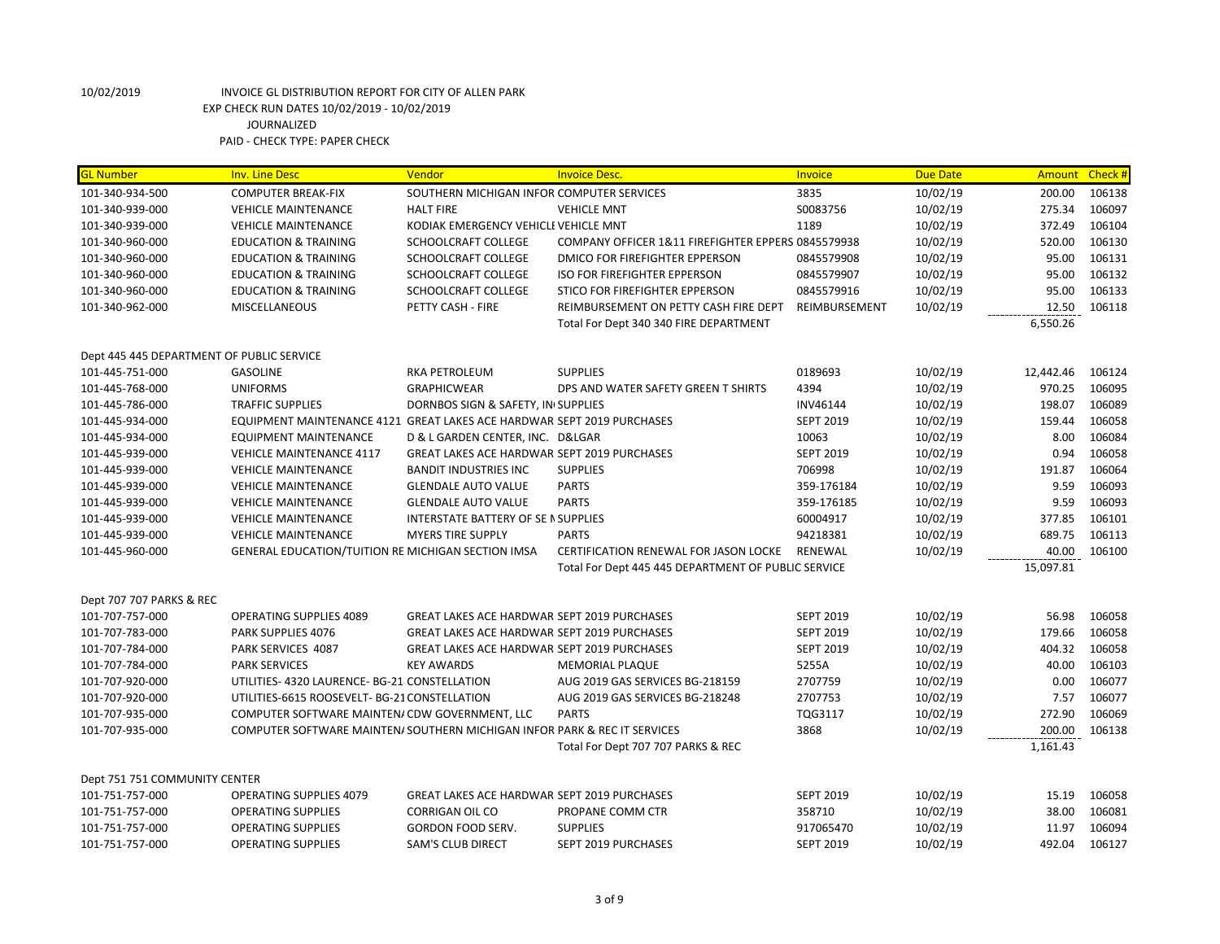| <mark>GL Number</mark>                    | <b>Inv. Line Desc</b>                                                     | Vendor                                             | <b>Invoice Desc.</b>                                | Invoice          | <b>Due Date</b> |           | Amount Check # |
|-------------------------------------------|---------------------------------------------------------------------------|----------------------------------------------------|-----------------------------------------------------|------------------|-----------------|-----------|----------------|
| 101-340-934-500                           | <b>COMPUTER BREAK-FIX</b>                                                 | SOUTHERN MICHIGAN INFOR COMPUTER SERVICES          |                                                     | 3835             | 10/02/19        | 200.00    | 106138         |
| 101-340-939-000                           | <b>VEHICLE MAINTENANCE</b>                                                | <b>HALT FIRE</b>                                   | <b>VEHICLE MNT</b>                                  | S0083756         | 10/02/19        | 275.34    | 106097         |
| 101-340-939-000                           | <b>VEHICLE MAINTENANCE</b>                                                | KODIAK EMERGENCY VEHICLI VEHICLE MNT               |                                                     | 1189             | 10/02/19        | 372.49    | 106104         |
| 101-340-960-000                           | <b>EDUCATION &amp; TRAINING</b>                                           | SCHOOLCRAFT COLLEGE                                | COMPANY OFFICER 1&11 FIREFIGHTER EPPERS 0845579938  |                  | 10/02/19        | 520.00    | 106130         |
| 101-340-960-000                           | <b>EDUCATION &amp; TRAINING</b>                                           | SCHOOLCRAFT COLLEGE                                | DMICO FOR FIREFIGHTER EPPERSON                      | 0845579908       | 10/02/19        | 95.00     | 106131         |
| 101-340-960-000                           | <b>EDUCATION &amp; TRAINING</b>                                           | SCHOOLCRAFT COLLEGE                                | <b>ISO FOR FIREFIGHTER EPPERSON</b>                 | 0845579907       | 10/02/19        | 95.00     | 106132         |
| 101-340-960-000                           | <b>EDUCATION &amp; TRAINING</b>                                           | <b>SCHOOLCRAFT COLLEGE</b>                         | STICO FOR FIREFIGHTER EPPERSON                      | 0845579916       | 10/02/19        | 95.00     | 106133         |
| 101-340-962-000                           | <b>MISCELLANEOUS</b>                                                      | PETTY CASH - FIRE                                  | REIMBURSEMENT ON PETTY CASH FIRE DEPT               | REIMBURSEMENT    | 10/02/19        | 12.50     | 106118         |
|                                           |                                                                           |                                                    | Total For Dept 340 340 FIRE DEPARTMENT              |                  |                 | 6,550.26  |                |
| Dept 445 445 DEPARTMENT OF PUBLIC SERVICE |                                                                           |                                                    |                                                     |                  |                 |           |                |
| 101-445-751-000                           | <b>GASOLINE</b>                                                           | <b>RKA PETROLEUM</b>                               | <b>SUPPLIES</b>                                     | 0189693          | 10/02/19        | 12,442.46 | 106124         |
| 101-445-768-000                           | <b>UNIFORMS</b>                                                           | <b>GRAPHICWEAR</b>                                 | DPS AND WATER SAFETY GREEN T SHIRTS                 | 4394             | 10/02/19        | 970.25    | 106095         |
| 101-445-786-000                           | <b>TRAFFIC SUPPLIES</b>                                                   | DORNBOS SIGN & SAFETY, IN SUPPLIES                 |                                                     | INV46144         | 10/02/19        | 198.07    | 106089         |
| 101-445-934-000                           | EQUIPMENT MAINTENANCE 4121 GREAT LAKES ACE HARDWAR SEPT 2019 PURCHASES    |                                                    |                                                     | <b>SEPT 2019</b> | 10/02/19        | 159.44    | 106058         |
| 101-445-934-000                           | <b>EQUIPMENT MAINTENANCE</b>                                              | D & L GARDEN CENTER, INC. D&LGAR                   |                                                     | 10063            | 10/02/19        | 8.00      | 106084         |
| 101-445-939-000                           | <b>VEHICLE MAINTENANCE 4117</b>                                           | <b>GREAT LAKES ACE HARDWAR SEPT 2019 PURCHASES</b> |                                                     | <b>SEPT 2019</b> | 10/02/19        | 0.94      | 106058         |
| 101-445-939-000                           | <b>VEHICLE MAINTENANCE</b>                                                | <b>BANDIT INDUSTRIES INC</b>                       | <b>SUPPLIES</b>                                     | 706998           | 10/02/19        | 191.87    | 106064         |
| 101-445-939-000                           | <b>VEHICLE MAINTENANCE</b>                                                | <b>GLENDALE AUTO VALUE</b>                         | <b>PARTS</b>                                        | 359-176184       | 10/02/19        | 9.59      | 106093         |
| 101-445-939-000                           | <b>VEHICLE MAINTENANCE</b>                                                | <b>GLENDALE AUTO VALUE</b>                         | <b>PARTS</b>                                        | 359-176185       | 10/02/19        | 9.59      | 106093         |
| 101-445-939-000                           | <b>VEHICLE MAINTENANCE</b>                                                | INTERSTATE BATTERY OF SE N SUPPLIES                |                                                     | 60004917         | 10/02/19        | 377.85    | 106101         |
| 101-445-939-000                           | <b>VEHICLE MAINTENANCE</b>                                                | <b>MYERS TIRE SUPPLY</b>                           | <b>PARTS</b>                                        | 94218381         | 10/02/19        | 689.75    | 106113         |
| 101-445-960-000                           | GENERAL EDUCATION/TUITION RE MICHIGAN SECTION IMSA                        |                                                    | CERTIFICATION RENEWAL FOR JASON LOCKE               | RENEWAL          | 10/02/19        | 40.00     | 106100         |
|                                           |                                                                           |                                                    | Total For Dept 445 445 DEPARTMENT OF PUBLIC SERVICE |                  |                 | 15,097.81 |                |
| Dept 707 707 PARKS & REC                  |                                                                           |                                                    |                                                     |                  |                 |           |                |
| 101-707-757-000                           | <b>OPERATING SUPPLIES 4089</b>                                            | <b>GREAT LAKES ACE HARDWAR SEPT 2019 PURCHASES</b> |                                                     | <b>SEPT 2019</b> | 10/02/19        | 56.98     | 106058         |
| 101-707-783-000                           | PARK SUPPLIES 4076                                                        | <b>GREAT LAKES ACE HARDWAR SEPT 2019 PURCHASES</b> |                                                     | <b>SEPT 2019</b> | 10/02/19        | 179.66    | 106058         |
| 101-707-784-000                           | PARK SERVICES 4087                                                        | <b>GREAT LAKES ACE HARDWAR SEPT 2019 PURCHASES</b> |                                                     | <b>SEPT 2019</b> | 10/02/19        | 404.32    | 106058         |
| 101-707-784-000                           | <b>PARK SERVICES</b>                                                      | <b>KEY AWARDS</b>                                  | <b>MEMORIAL PLAQUE</b>                              | 5255A            | 10/02/19        | 40.00     | 106103         |
| 101-707-920-000                           | UTILITIES-4320 LAURENCE-BG-21 CONSTELLATION                               |                                                    | AUG 2019 GAS SERVICES BG-218159                     | 2707759          | 10/02/19        | 0.00      | 106077         |
| 101-707-920-000                           | UTILITIES-6615 ROOSEVELT- BG-21 CONSTELLATION                             |                                                    | AUG 2019 GAS SERVICES BG-218248                     | 2707753          | 10/02/19        | 7.57      | 106077         |
| 101-707-935-000                           | COMPUTER SOFTWARE MAINTEN/ CDW GOVERNMENT, LLC                            |                                                    | <b>PARTS</b>                                        | TQG3117          | 10/02/19        | 272.90    | 106069         |
| 101-707-935-000                           | COMPUTER SOFTWARE MAINTEN/ SOUTHERN MICHIGAN INFOR PARK & REC IT SERVICES |                                                    |                                                     | 3868             | 10/02/19        | 200.00    | 106138         |
|                                           |                                                                           |                                                    | Total For Dept 707 707 PARKS & REC                  |                  |                 | 1,161.43  |                |
| Dept 751 751 COMMUNITY CENTER             |                                                                           |                                                    |                                                     |                  |                 |           |                |
| 101-751-757-000                           | OPERATING SUPPLIES 4079                                                   | <b>GREAT LAKES ACE HARDWAR SEPT 2019 PURCHASES</b> |                                                     | <b>SEPT 2019</b> | 10/02/19        | 15.19     | 106058         |
| 101-751-757-000                           | <b>OPERATING SUPPLIES</b>                                                 | <b>CORRIGAN OIL CO</b>                             | PROPANE COMM CTR                                    | 358710           | 10/02/19        | 38.00     | 106081         |
| 101-751-757-000                           | <b>OPERATING SUPPLIES</b>                                                 | GORDON FOOD SERV.                                  | <b>SUPPLIES</b>                                     | 917065470        | 10/02/19        | 11.97     | 106094         |
| 101-751-757-000                           | <b>OPERATING SUPPLIES</b>                                                 | <b>SAM'S CLUB DIRECT</b>                           | SEPT 2019 PURCHASES                                 | <b>SEPT 2019</b> | 10/02/19        | 492.04    | 106127         |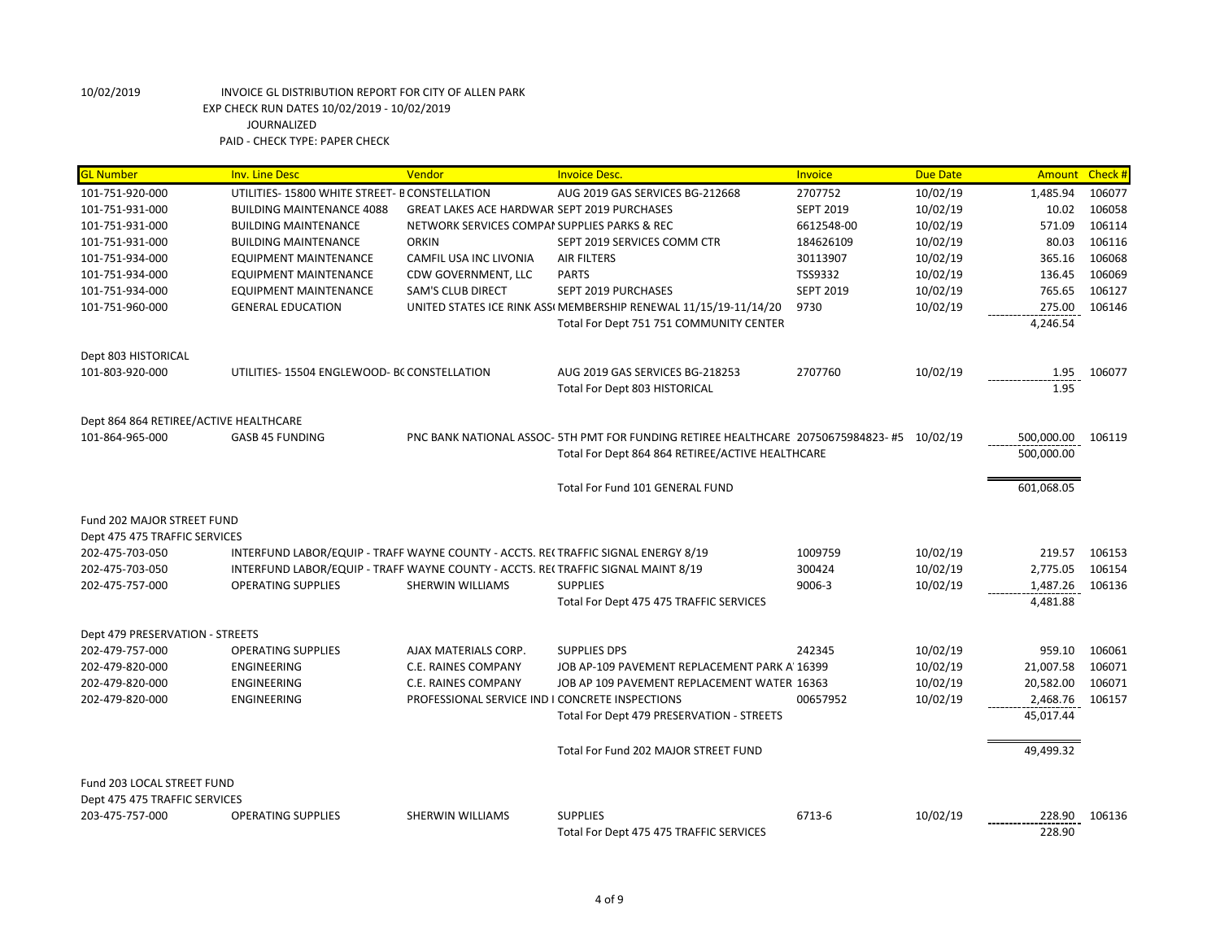| <b>GL Number</b><br><b>Inv. Line Desc</b><br>Vendor<br><b>Invoice Desc.</b><br>Invoice<br><b>Due Date</b>                                               | Check#<br><b>Amount</b> |
|---------------------------------------------------------------------------------------------------------------------------------------------------------|-------------------------|
| 101-751-920-000<br>UTILITIES- 15800 WHITE STREET- B CONSTELLATION<br>2707752<br>10/02/19<br>AUG 2019 GAS SERVICES BG-212668<br>1,485.94                 | 106077                  |
| <b>SEPT 2019</b><br>10/02/19<br>101-751-931-000<br><b>BUILDING MAINTENANCE 4088</b><br><b>GREAT LAKES ACE HARDWAR SEPT 2019 PURCHASES</b>               | 10.02<br>106058         |
| 10/02/19<br>101-751-931-000<br><b>BUILDING MAINTENANCE</b><br>NETWORK SERVICES COMPAI SUPPLIES PARKS & REC<br>6612548-00                                | 571.09<br>106114        |
| <b>ORKIN</b><br>10/02/19<br>101-751-931-000<br><b>BUILDING MAINTENANCE</b><br>SEPT 2019 SERVICES COMM CTR<br>184626109                                  | 106116<br>80.03         |
| 30113907<br>10/02/19<br>101-751-934-000<br><b>EQUIPMENT MAINTENANCE</b><br>CAMFIL USA INC LIVONIA<br><b>AIR FILTERS</b>                                 | 106068<br>365.16        |
| TSS9332<br>10/02/19<br>101-751-934-000<br>EQUIPMENT MAINTENANCE<br>CDW GOVERNMENT, LLC<br><b>PARTS</b>                                                  | 136.45<br>106069        |
| 10/02/19<br>101-751-934-000<br><b>EQUIPMENT MAINTENANCE</b><br><b>SAM'S CLUB DIRECT</b><br>SEPT 2019 PURCHASES<br><b>SEPT 2019</b>                      | 765.65<br>106127        |
| 10/02/19<br>101-751-960-000<br><b>GENERAL EDUCATION</b><br>UNITED STATES ICE RINK ASSI MEMBERSHIP RENEWAL 11/15/19-11/14/20<br>9730                     | 275.00<br>106146        |
| Total For Dept 751 751 COMMUNITY CENTER<br>4,246.54                                                                                                     |                         |
| Dept 803 HISTORICAL                                                                                                                                     |                         |
| 10/02/19<br>101-803-920-000<br>UTILITIES-15504 ENGLEWOOD- BC CONSTELLATION<br>AUG 2019 GAS SERVICES BG-218253<br>2707760                                | 1.95<br>106077          |
| Total For Dept 803 HISTORICAL                                                                                                                           | 1.95                    |
|                                                                                                                                                         |                         |
| Dept 864 864 RETIREE/ACTIVE HEALTHCARE                                                                                                                  |                         |
| PNC BANK NATIONAL ASSOC-5TH PMT FOR FUNDING RETIREE HEALTHCARE 20750675984823-#5<br>10/02/19<br>101-864-965-000<br><b>GASB 45 FUNDING</b><br>500,000.00 | 106119                  |
| 500,000.00<br>Total For Dept 864 864 RETIREE/ACTIVE HEALTHCARE                                                                                          |                         |
| 601,068.05<br>Total For Fund 101 GENERAL FUND                                                                                                           |                         |
| Fund 202 MAJOR STREET FUND                                                                                                                              |                         |
| Dept 475 475 TRAFFIC SERVICES                                                                                                                           |                         |
| 202-475-703-050<br>INTERFUND LABOR/EQUIP - TRAFF WAYNE COUNTY - ACCTS. RECTRAFFIC SIGNAL ENERGY 8/19<br>1009759<br>10/02/19                             | 219.57<br>106153        |
| INTERFUND LABOR/EQUIP - TRAFF WAYNE COUNTY - ACCTS. RE(TRAFFIC SIGNAL MAINT 8/19<br>300424<br>10/02/19<br>2,775.05<br>202-475-703-050                   | 106154                  |
| <b>OPERATING SUPPLIES</b><br><b>SUPPLIES</b><br>9006-3<br>10/02/19<br>1,487.26<br>202-475-757-000<br>SHERWIN WILLIAMS                                   | 106136                  |
| Total For Dept 475 475 TRAFFIC SERVICES<br>4,481.88                                                                                                     |                         |
| Dept 479 PRESERVATION - STREETS                                                                                                                         |                         |
| 202-479-757-000<br><b>OPERATING SUPPLIES</b><br>AJAX MATERIALS CORP.<br><b>SUPPLIES DPS</b><br>242345<br>10/02/19                                       | 959.10<br>106061        |
| 202-479-820-000<br><b>ENGINEERING</b><br>C.E. RAINES COMPANY<br>JOB AP-109 PAVEMENT REPLACEMENT PARK A' 16399<br>10/02/19<br>21,007.58                  | 106071                  |
| 10/02/19<br>20,582.00<br>202-479-820-000<br>ENGINEERING<br>C.E. RAINES COMPANY<br>JOB AP 109 PAVEMENT REPLACEMENT WATER 16363                           | 106071                  |
| 10/02/19<br>2,468.76<br>202-479-820-000<br>ENGINEERING<br>PROFESSIONAL SERVICE IND I CONCRETE INSPECTIONS<br>00657952                                   | 106157                  |
| 45,017.44<br>Total For Dept 479 PRESERVATION - STREETS                                                                                                  |                         |
|                                                                                                                                                         |                         |
| 49,499.32<br>Total For Fund 202 MAJOR STREET FUND                                                                                                       |                         |
| Fund 203 LOCAL STREET FUND                                                                                                                              |                         |
| Dept 475 475 TRAFFIC SERVICES                                                                                                                           |                         |
| 203-475-757-000<br><b>OPERATING SUPPLIES</b><br><b>SHERWIN WILLIAMS</b><br><b>SUPPLIES</b><br>6713-6<br>10/02/19                                        | 228.90<br>106136        |
|                                                                                                                                                         |                         |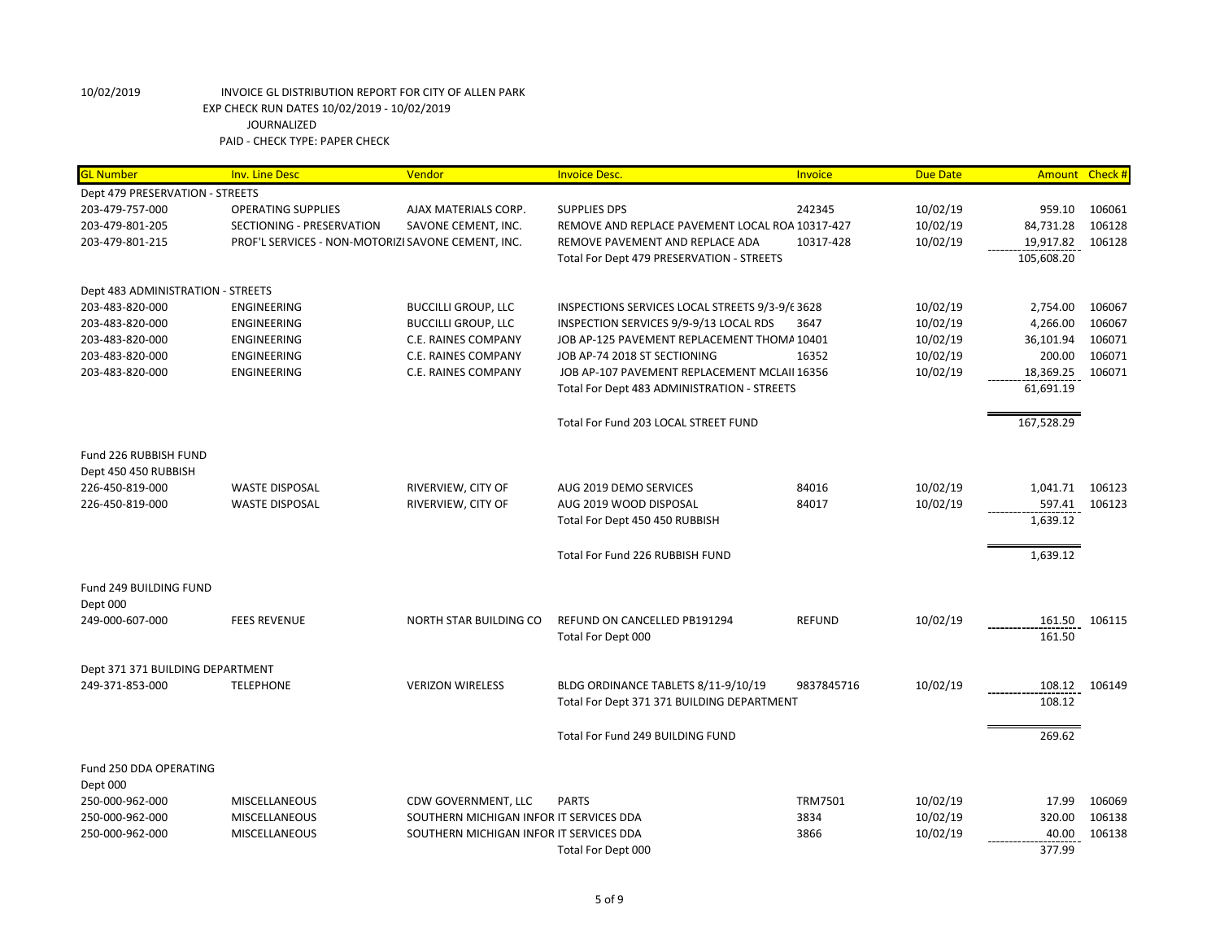| <b>GL Number</b>                  | <b>Inv. Line Desc</b>                              | Vendor                                  | <b>Invoice Desc.</b>                            | Invoice        | <b>Due Date</b> |            | Amount Check # |
|-----------------------------------|----------------------------------------------------|-----------------------------------------|-------------------------------------------------|----------------|-----------------|------------|----------------|
| Dept 479 PRESERVATION - STREETS   |                                                    |                                         |                                                 |                |                 |            |                |
| 203-479-757-000                   | <b>OPERATING SUPPLIES</b>                          | AJAX MATERIALS CORP.                    | <b>SUPPLIES DPS</b>                             | 242345         | 10/02/19        | 959.10     | 106061         |
| 203-479-801-205                   | SECTIONING - PRESERVATION                          | SAVONE CEMENT, INC.                     | REMOVE AND REPLACE PAVEMENT LOCAL ROA 10317-427 |                | 10/02/19        | 84,731.28  | 106128         |
| 203-479-801-215                   | PROF'L SERVICES - NON-MOTORIZI SAVONE CEMENT, INC. |                                         | REMOVE PAVEMENT AND REPLACE ADA                 | 10317-428      | 10/02/19        | 19,917.82  | 106128         |
|                                   |                                                    |                                         | Total For Dept 479 PRESERVATION - STREETS       |                |                 | 105,608.20 |                |
| Dept 483 ADMINISTRATION - STREETS |                                                    |                                         |                                                 |                |                 |            |                |
| 203-483-820-000                   | ENGINEERING                                        | <b>BUCCILLI GROUP, LLC</b>              | INSPECTIONS SERVICES LOCAL STREETS 9/3-9/6 3628 |                | 10/02/19        | 2,754.00   | 106067         |
| 203-483-820-000                   | ENGINEERING                                        | <b>BUCCILLI GROUP, LLC</b>              | INSPECTION SERVICES 9/9-9/13 LOCAL RDS          | 3647           | 10/02/19        | 4,266.00   | 106067         |
| 203-483-820-000                   | ENGINEERING                                        | C.E. RAINES COMPANY                     | JOB AP-125 PAVEMENT REPLACEMENT THOMA 10401     |                | 10/02/19        | 36,101.94  | 106071         |
| 203-483-820-000                   | ENGINEERING                                        | C.E. RAINES COMPANY                     | JOB AP-74 2018 ST SECTIONING                    | 16352          | 10/02/19        | 200.00     | 106071         |
| 203-483-820-000                   | ENGINEERING                                        | C.E. RAINES COMPANY                     | JOB AP-107 PAVEMENT REPLACEMENT MCLAII 16356    |                | 10/02/19        | 18,369.25  | 106071         |
|                                   |                                                    |                                         | Total For Dept 483 ADMINISTRATION - STREETS     |                |                 | 61,691.19  |                |
|                                   |                                                    |                                         | Total For Fund 203 LOCAL STREET FUND            |                |                 | 167,528.29 |                |
| Fund 226 RUBBISH FUND             |                                                    |                                         |                                                 |                |                 |            |                |
| Dept 450 450 RUBBISH              |                                                    |                                         |                                                 |                |                 |            |                |
| 226-450-819-000                   | <b>WASTE DISPOSAL</b>                              | RIVERVIEW, CITY OF                      | AUG 2019 DEMO SERVICES                          | 84016          | 10/02/19        | 1,041.71   | 106123         |
| 226-450-819-000                   | <b>WASTE DISPOSAL</b>                              | RIVERVIEW, CITY OF                      | AUG 2019 WOOD DISPOSAL                          | 84017          | 10/02/19        | 597.41     | 106123         |
|                                   |                                                    |                                         | Total For Dept 450 450 RUBBISH                  |                |                 | 1,639.12   |                |
|                                   |                                                    |                                         | Total For Fund 226 RUBBISH FUND                 |                |                 | 1,639.12   |                |
| Fund 249 BUILDING FUND            |                                                    |                                         |                                                 |                |                 |            |                |
| Dept 000                          |                                                    |                                         |                                                 |                |                 |            |                |
| 249-000-607-000                   | <b>FEES REVENUE</b>                                | NORTH STAR BUILDING CO                  | REFUND ON CANCELLED PB191294                    | <b>REFUND</b>  | 10/02/19        | 161.50     | 106115         |
|                                   |                                                    |                                         | Total For Dept 000                              |                |                 | 161.50     |                |
| Dept 371 371 BUILDING DEPARTMENT  |                                                    |                                         |                                                 |                |                 |            |                |
| 249-371-853-000                   | <b>TELEPHONE</b>                                   | <b>VERIZON WIRELESS</b>                 | BLDG ORDINANCE TABLETS 8/11-9/10/19             | 9837845716     | 10/02/19        | 108.12     | 106149         |
|                                   |                                                    |                                         | Total For Dept 371 371 BUILDING DEPARTMENT      |                |                 | 108.12     |                |
|                                   |                                                    |                                         | Total For Fund 249 BUILDING FUND                |                |                 | 269.62     |                |
| Fund 250 DDA OPERATING            |                                                    |                                         |                                                 |                |                 |            |                |
| Dept 000                          |                                                    |                                         |                                                 |                |                 |            |                |
| 250-000-962-000                   | <b>MISCELLANEOUS</b>                               | CDW GOVERNMENT, LLC                     | <b>PARTS</b>                                    | <b>TRM7501</b> | 10/02/19        | 17.99      | 106069         |
| 250-000-962-000                   | <b>MISCELLANEOUS</b>                               | SOUTHERN MICHIGAN INFOR IT SERVICES DDA |                                                 | 3834           | 10/02/19        | 320.00     | 106138         |
| 250-000-962-000                   | MISCELLANEOUS                                      | SOUTHERN MICHIGAN INFOR IT SERVICES DDA |                                                 | 3866           | 10/02/19        | 40.00      | 106138         |
|                                   |                                                    |                                         | Total For Dept 000                              |                |                 | 377.99     |                |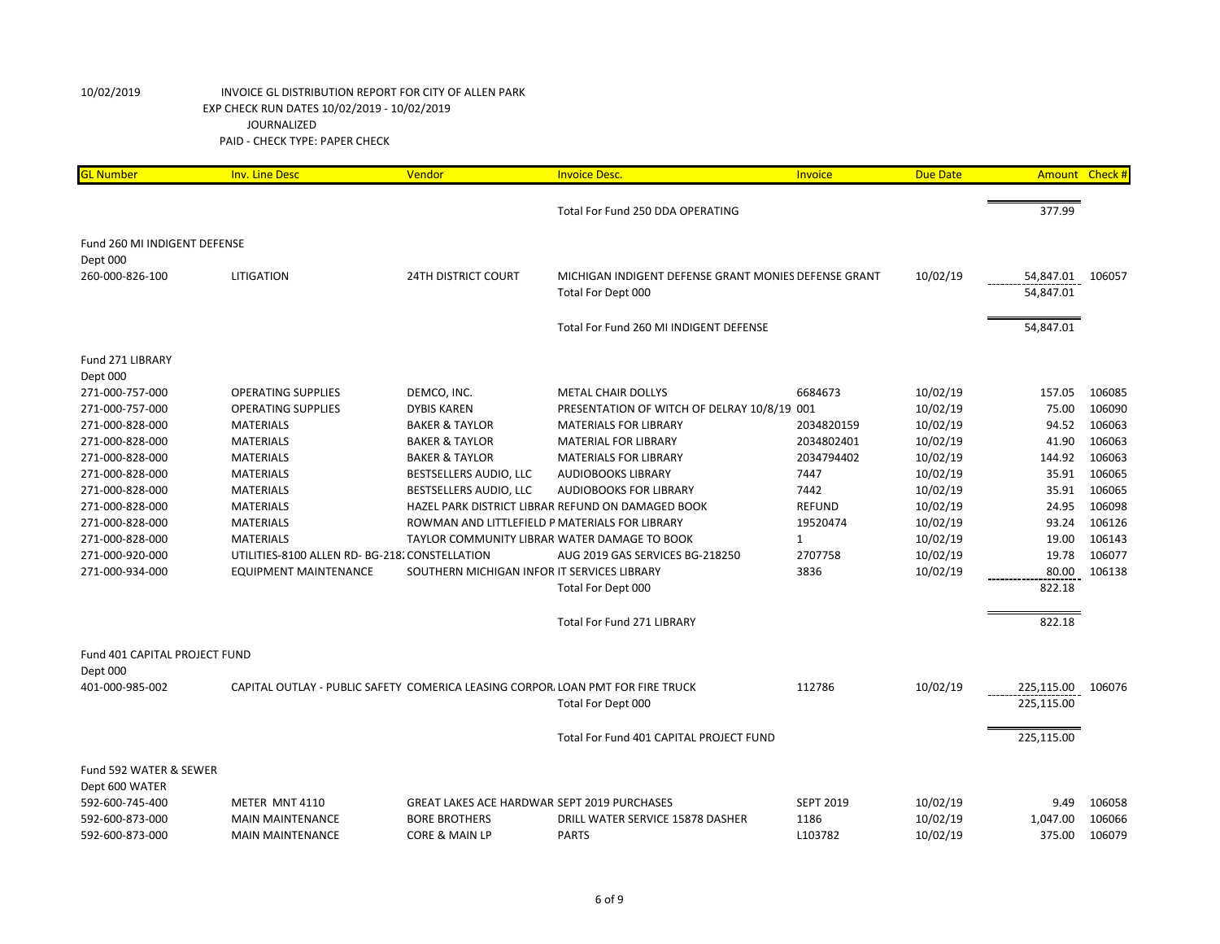| <b>GL Number</b>              | <b>Inv. Line Desc</b>                                                           | Vendor                                             | <b>Invoice Desc.</b>                                 | Invoice          | <b>Due Date</b> | Amount Check# |        |
|-------------------------------|---------------------------------------------------------------------------------|----------------------------------------------------|------------------------------------------------------|------------------|-----------------|---------------|--------|
|                               |                                                                                 |                                                    | Total For Fund 250 DDA OPERATING                     |                  |                 | 377.99        |        |
|                               |                                                                                 |                                                    |                                                      |                  |                 |               |        |
| Fund 260 MI INDIGENT DEFENSE  |                                                                                 |                                                    |                                                      |                  |                 |               |        |
| Dept 000                      |                                                                                 |                                                    |                                                      |                  |                 |               |        |
| 260-000-826-100               | <b>LITIGATION</b>                                                               | <b>24TH DISTRICT COURT</b>                         | MICHIGAN INDIGENT DEFENSE GRANT MONIES DEFENSE GRANT |                  | 10/02/19        | 54,847.01     | 106057 |
|                               |                                                                                 |                                                    | Total For Dept 000                                   |                  |                 | 54,847.01     |        |
|                               |                                                                                 |                                                    | Total For Fund 260 MI INDIGENT DEFENSE               |                  |                 | 54,847.01     |        |
| Fund 271 LIBRARY              |                                                                                 |                                                    |                                                      |                  |                 |               |        |
| Dept 000                      |                                                                                 |                                                    |                                                      |                  |                 |               |        |
| 271-000-757-000               | <b>OPERATING SUPPLIES</b>                                                       | DEMCO, INC.                                        | <b>METAL CHAIR DOLLYS</b>                            | 6684673          | 10/02/19        | 157.05        | 106085 |
| 271-000-757-000               | <b>OPERATING SUPPLIES</b>                                                       | <b>DYBIS KAREN</b>                                 | PRESENTATION OF WITCH OF DELRAY 10/8/19 001          |                  | 10/02/19        | 75.00         | 106090 |
| 271-000-828-000               | <b>MATERIALS</b>                                                                | <b>BAKER &amp; TAYLOR</b>                          | <b>MATERIALS FOR LIBRARY</b>                         | 2034820159       | 10/02/19        | 94.52         | 106063 |
| 271-000-828-000               | <b>MATERIALS</b>                                                                | <b>BAKER &amp; TAYLOR</b>                          | <b>MATERIAL FOR LIBRARY</b>                          | 2034802401       | 10/02/19        | 41.90         | 106063 |
| 271-000-828-000               | <b>MATERIALS</b>                                                                | <b>BAKER &amp; TAYLOR</b>                          | <b>MATERIALS FOR LIBRARY</b>                         | 2034794402       | 10/02/19        | 144.92        | 106063 |
| 271-000-828-000               | <b>MATERIALS</b>                                                                | BESTSELLERS AUDIO, LLC                             | <b>AUDIOBOOKS LIBRARY</b>                            | 7447             | 10/02/19        | 35.91         | 106065 |
| 271-000-828-000               | <b>MATERIALS</b>                                                                | BESTSELLERS AUDIO, LLC                             | <b>AUDIOBOOKS FOR LIBRARY</b>                        | 7442             | 10/02/19        | 35.91         | 106065 |
| 271-000-828-000               | <b>MATERIALS</b>                                                                |                                                    | HAZEL PARK DISTRICT LIBRAR REFUND ON DAMAGED BOOK    | <b>REFUND</b>    | 10/02/19        | 24.95         | 106098 |
| 271-000-828-000               | <b>MATERIALS</b>                                                                | ROWMAN AND LITTLEFIELD P MATERIALS FOR LIBRARY     |                                                      | 19520474         | 10/02/19        | 93.24         | 106126 |
| 271-000-828-000               | <b>MATERIALS</b>                                                                | TAYLOR COMMUNITY LIBRAR WATER DAMAGE TO BOOK       |                                                      | $\mathbf{1}$     | 10/02/19        | 19.00         | 106143 |
| 271-000-920-000               | UTILITIES-8100 ALLEN RD- BG-218. CONSTELLATION                                  |                                                    | AUG 2019 GAS SERVICES BG-218250                      | 2707758          | 10/02/19        | 19.78         | 106077 |
| 271-000-934-000               | <b>EQUIPMENT MAINTENANCE</b>                                                    | SOUTHERN MICHIGAN INFOR IT SERVICES LIBRARY        |                                                      | 3836             | 10/02/19        | 80.00         | 106138 |
|                               |                                                                                 |                                                    | Total For Dept 000                                   |                  |                 | 822.18        |        |
|                               |                                                                                 |                                                    | <b>Total For Fund 271 LIBRARY</b>                    |                  |                 | 822.18        |        |
| Fund 401 CAPITAL PROJECT FUND |                                                                                 |                                                    |                                                      |                  |                 |               |        |
| Dept 000                      |                                                                                 |                                                    |                                                      |                  |                 |               |        |
| 401-000-985-002               | CAPITAL OUTLAY - PUBLIC SAFETY COMERICA LEASING CORPOR. LOAN PMT FOR FIRE TRUCK |                                                    |                                                      | 112786           | 10/02/19        | 225,115.00    | 106076 |
|                               |                                                                                 |                                                    | Total For Dept 000                                   |                  |                 | 225,115.00    |        |
|                               |                                                                                 |                                                    | Total For Fund 401 CAPITAL PROJECT FUND              |                  |                 | 225,115.00    |        |
|                               |                                                                                 |                                                    |                                                      |                  |                 |               |        |
| Fund 592 WATER & SEWER        |                                                                                 |                                                    |                                                      |                  |                 |               |        |
| Dept 600 WATER                |                                                                                 |                                                    |                                                      |                  |                 |               |        |
| 592-600-745-400               | METER MNT 4110                                                                  | <b>GREAT LAKES ACE HARDWAR SEPT 2019 PURCHASES</b> |                                                      | <b>SEPT 2019</b> | 10/02/19        | 9.49          | 106058 |
| 592-600-873-000               | <b>MAIN MAINTENANCE</b>                                                         | <b>BORE BROTHERS</b>                               | DRILL WATER SERVICE 15878 DASHER                     | 1186             | 10/02/19        | 1,047.00      | 106066 |
| 592-600-873-000               | <b>MAIN MAINTENANCE</b>                                                         | <b>CORE &amp; MAIN LP</b>                          | <b>PARTS</b>                                         | L103782          | 10/02/19        | 375.00        | 106079 |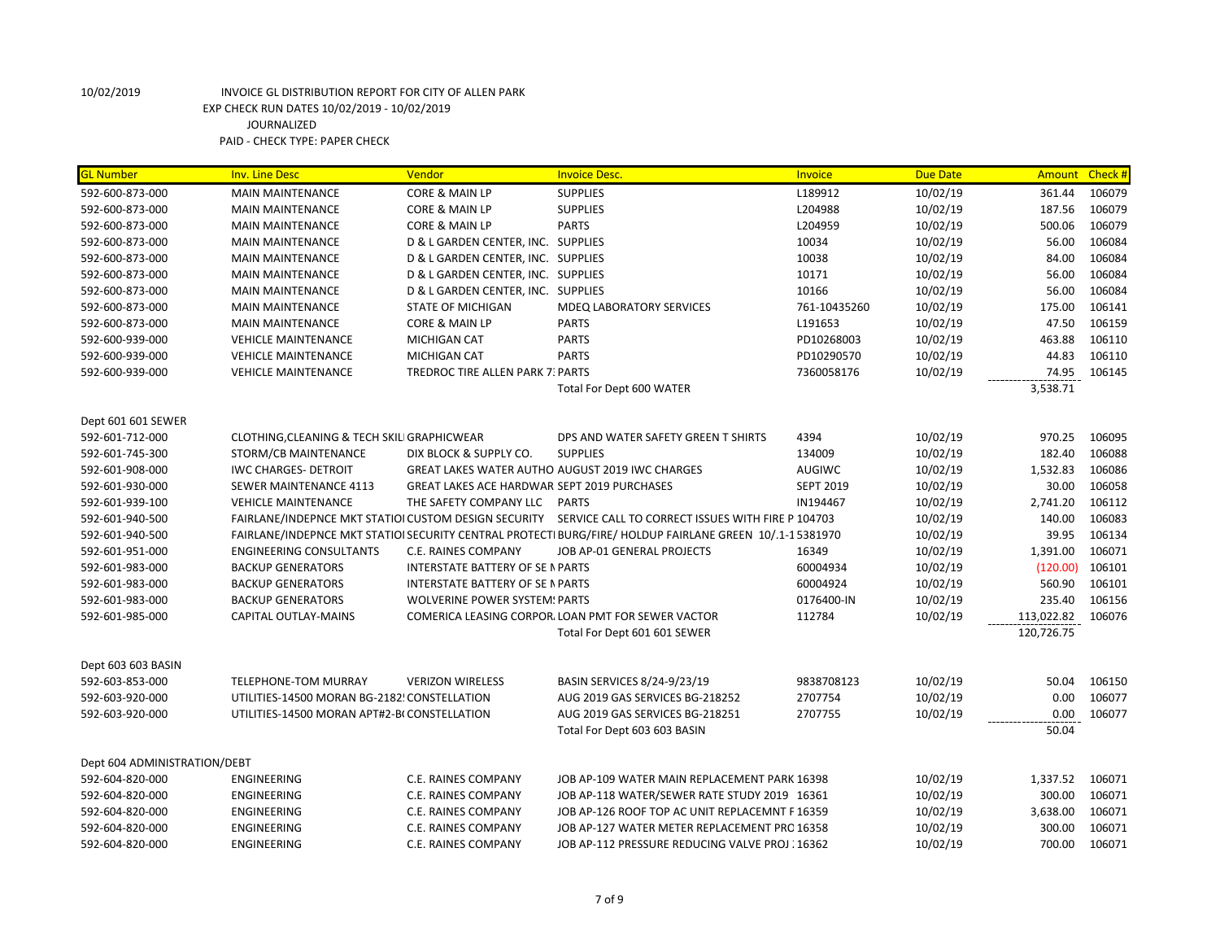| <b>GL Number</b>             | <b>Inv. Line Desc</b>                                | Vendor                                      | <b>Invoice Desc.</b>                                                                                    | Invoice          | <b>Due Date</b> | Amount Check # |        |
|------------------------------|------------------------------------------------------|---------------------------------------------|---------------------------------------------------------------------------------------------------------|------------------|-----------------|----------------|--------|
| 592-600-873-000              | <b>MAIN MAINTENANCE</b>                              | CORE & MAIN LP                              | <b>SUPPLIES</b>                                                                                         | L189912          | 10/02/19        | 361.44         | 106079 |
| 592-600-873-000              | <b>MAIN MAINTENANCE</b>                              | CORE & MAIN LP                              | <b>SUPPLIES</b>                                                                                         | L204988          | 10/02/19        | 187.56         | 106079 |
| 592-600-873-000              | <b>MAIN MAINTENANCE</b>                              | <b>CORE &amp; MAIN LP</b>                   | <b>PARTS</b>                                                                                            | L204959          | 10/02/19        | 500.06         | 106079 |
| 592-600-873-000              | <b>MAIN MAINTENANCE</b>                              | D & L GARDEN CENTER, INC. SUPPLIES          |                                                                                                         | 10034            | 10/02/19        | 56.00          | 106084 |
| 592-600-873-000              | <b>MAIN MAINTENANCE</b>                              | D & L GARDEN CENTER, INC. SUPPLIES          |                                                                                                         | 10038            | 10/02/19        | 84.00          | 106084 |
| 592-600-873-000              | <b>MAIN MAINTENANCE</b>                              | D & L GARDEN CENTER, INC. SUPPLIES          |                                                                                                         | 10171            | 10/02/19        | 56.00          | 106084 |
| 592-600-873-000              | <b>MAIN MAINTENANCE</b>                              | D & L GARDEN CENTER, INC. SUPPLIES          |                                                                                                         | 10166            | 10/02/19        | 56.00          | 106084 |
| 592-600-873-000              | <b>MAIN MAINTENANCE</b>                              | <b>STATE OF MICHIGAN</b>                    | MDEQ LABORATORY SERVICES                                                                                | 761-10435260     | 10/02/19        | 175.00         | 106141 |
| 592-600-873-000              | <b>MAIN MAINTENANCE</b>                              | CORE & MAIN LP                              | <b>PARTS</b>                                                                                            | L191653          | 10/02/19        | 47.50          | 106159 |
| 592-600-939-000              | <b>VEHICLE MAINTENANCE</b>                           | <b>MICHIGAN CAT</b>                         | <b>PARTS</b>                                                                                            | PD10268003       | 10/02/19        | 463.88         | 106110 |
| 592-600-939-000              | <b>VEHICLE MAINTENANCE</b>                           | <b>MICHIGAN CAT</b>                         | <b>PARTS</b>                                                                                            | PD10290570       | 10/02/19        | 44.83          | 106110 |
| 592-600-939-000              | <b>VEHICLE MAINTENANCE</b>                           | <b>TREDROC TIRE ALLEN PARK 7: PARTS</b>     |                                                                                                         | 7360058176       | 10/02/19        | 74.95          | 106145 |
|                              |                                                      |                                             | Total For Dept 600 WATER                                                                                |                  |                 | 3,538.71       |        |
|                              |                                                      |                                             |                                                                                                         |                  |                 |                |        |
| Dept 601 601 SEWER           |                                                      |                                             |                                                                                                         |                  |                 |                |        |
| 592-601-712-000              | CLOTHING, CLEANING & TECH SKILI GRAPHICWEAR          |                                             | DPS AND WATER SAFETY GREEN T SHIRTS                                                                     | 4394             | 10/02/19        | 970.25         | 106095 |
| 592-601-745-300              | STORM/CB MAINTENANCE                                 | DIX BLOCK & SUPPLY CO.                      | <b>SUPPLIES</b>                                                                                         | 134009           | 10/02/19        | 182.40         | 106088 |
| 592-601-908-000              | <b>IWC CHARGES- DETROIT</b>                          |                                             | <b>GREAT LAKES WATER AUTHO AUGUST 2019 IWC CHARGES</b>                                                  | <b>AUGIWC</b>    | 10/02/19        | 1,532.83       | 106086 |
| 592-601-930-000              | <b>SEWER MAINTENANCE 4113</b>                        | GREAT LAKES ACE HARDWAR SEPT 2019 PURCHASES |                                                                                                         | <b>SEPT 2019</b> | 10/02/19        | 30.00          | 106058 |
| 592-601-939-100              | <b>VEHICLE MAINTENANCE</b>                           | THE SAFETY COMPANY LLC                      | <b>PARTS</b>                                                                                            | IN194467         | 10/02/19        | 2,741.20       | 106112 |
| 592-601-940-500              | FAIRLANE/INDEPNCE MKT STATIOI CUSTOM DESIGN SECURITY |                                             | SERVICE CALL TO CORRECT ISSUES WITH FIRE P 104703                                                       |                  | 10/02/19        | 140.00         | 106083 |
| 592-601-940-500              |                                                      |                                             | FAIRLANE/INDEPNCE MKT STATIOI SECURITY CENTRAL PROTECTI BURG/FIRE/ HOLDUP FAIRLANE GREEN 10/.1-15381970 |                  | 10/02/19        | 39.95          | 106134 |
| 592-601-951-000              | <b>ENGINEERING CONSULTANTS</b>                       | C.E. RAINES COMPANY                         | JOB AP-01 GENERAL PROJECTS                                                                              | 16349            | 10/02/19        | 1,391.00       | 106071 |
| 592-601-983-000              | <b>BACKUP GENERATORS</b>                             | <b>INTERSTATE BATTERY OF SE N PARTS</b>     |                                                                                                         | 60004934         | 10/02/19        | (120.00)       | 106101 |
| 592-601-983-000              | <b>BACKUP GENERATORS</b>                             | <b>INTERSTATE BATTERY OF SE N PARTS</b>     |                                                                                                         | 60004924         | 10/02/19        | 560.90         | 106101 |
| 592-601-983-000              | <b>BACKUP GENERATORS</b>                             | <b>WOLVERINE POWER SYSTEM: PARTS</b>        |                                                                                                         | 0176400-IN       | 10/02/19        | 235.40         | 106156 |
| 592-601-985-000              | CAPITAL OUTLAY-MAINS                                 |                                             | COMERICA LEASING CORPOR. LOAN PMT FOR SEWER VACTOR                                                      | 112784           | 10/02/19        | 113,022.82     | 106076 |
|                              |                                                      |                                             | Total For Dept 601 601 SEWER                                                                            |                  |                 | 120,726.75     |        |
|                              |                                                      |                                             |                                                                                                         |                  |                 |                |        |
| Dept 603 603 BASIN           |                                                      |                                             |                                                                                                         |                  |                 |                |        |
| 592-603-853-000              | <b>TELEPHONE-TOM MURRAY</b>                          | <b>VERIZON WIRELESS</b>                     | BASIN SERVICES 8/24-9/23/19                                                                             | 9838708123       | 10/02/19        | 50.04          | 106150 |
| 592-603-920-000              | UTILITIES-14500 MORAN BG-2182! CONSTELLATION         |                                             | AUG 2019 GAS SERVICES BG-218252                                                                         | 2707754          | 10/02/19        | 0.00           | 106077 |
| 592-603-920-000              | UTILITIES-14500 MORAN APT#2-B(CONSTELLATION          |                                             | AUG 2019 GAS SERVICES BG-218251                                                                         | 2707755          | 10/02/19        | 0.00           | 106077 |
|                              |                                                      |                                             | Total For Dept 603 603 BASIN                                                                            |                  |                 | 50.04          |        |
| Dept 604 ADMINISTRATION/DEBT |                                                      |                                             |                                                                                                         |                  |                 |                |        |
| 592-604-820-000              | ENGINEERING                                          | C.E. RAINES COMPANY                         | JOB AP-109 WATER MAIN REPLACEMENT PARK 16398                                                            |                  | 10/02/19        | 1,337.52       | 106071 |
| 592-604-820-000              | ENGINEERING                                          | C.E. RAINES COMPANY                         | JOB AP-118 WATER/SEWER RATE STUDY 2019 16361                                                            |                  | 10/02/19        | 300.00         | 106071 |
| 592-604-820-000              | <b>ENGINEERING</b>                                   | C.E. RAINES COMPANY                         | JOB AP-126 ROOF TOP AC UNIT REPLACEMNT F 16359                                                          |                  | 10/02/19        | 3,638.00       | 106071 |
| 592-604-820-000              | <b>ENGINEERING</b>                                   | C.E. RAINES COMPANY                         | JOB AP-127 WATER METER REPLACEMENT PRO 16358                                                            |                  | 10/02/19        | 300.00         | 106071 |
| 592-604-820-000              | <b>ENGINEERING</b>                                   | C.E. RAINES COMPANY                         | JOB AP-112 PRESSURE REDUCING VALVE PROJ : 16362                                                         |                  | 10/02/19        | 700.00         | 106071 |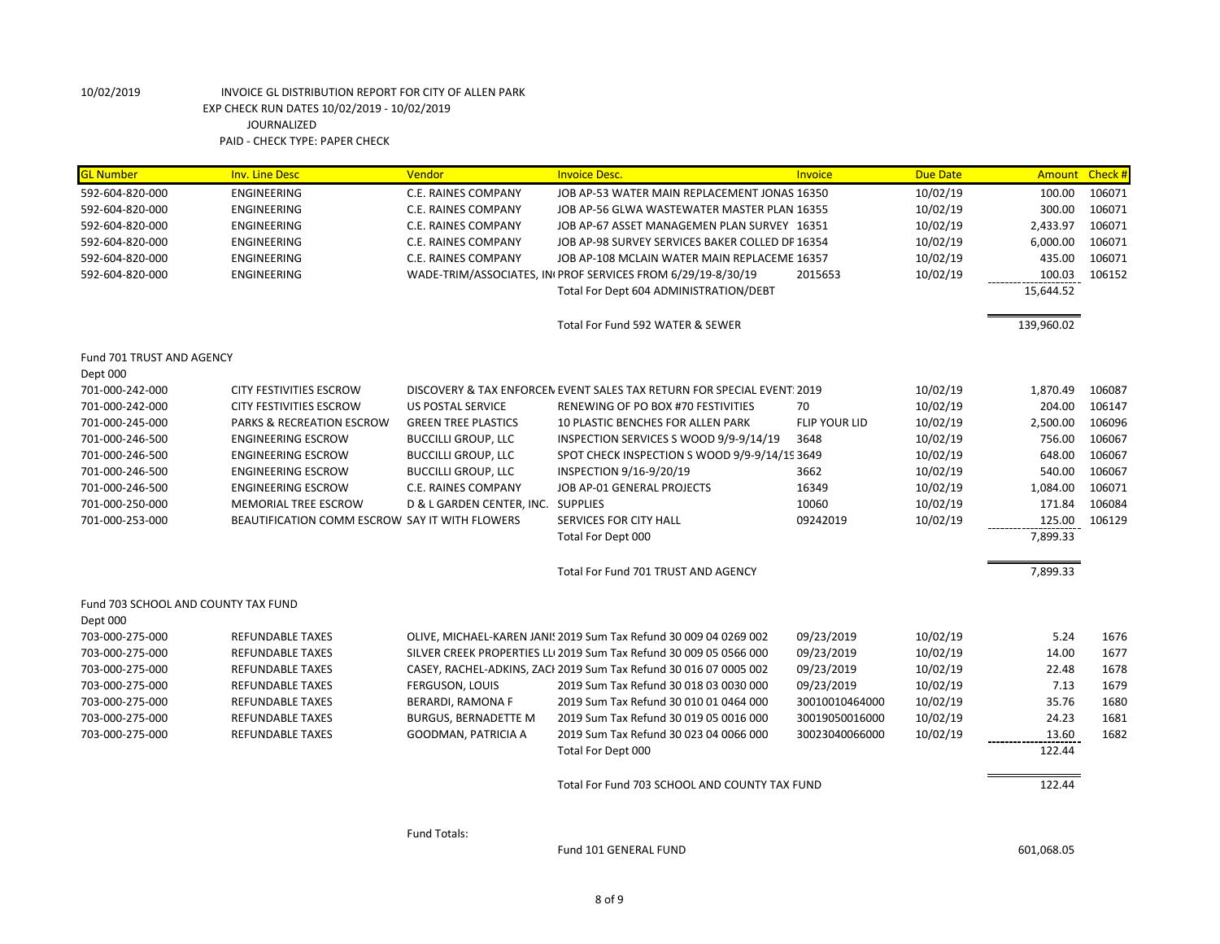| <b>GL Number</b>                                | <b>Inv. Line Desc</b>                                                  | Vendor                                                    | <b>Invoice Desc.</b>                                                   | <b>Invoice</b>       | <b>Due Date</b>      | Amount             | Check #          |
|-------------------------------------------------|------------------------------------------------------------------------|-----------------------------------------------------------|------------------------------------------------------------------------|----------------------|----------------------|--------------------|------------------|
| 592-604-820-000                                 | <b>ENGINEERING</b>                                                     | C.E. RAINES COMPANY                                       | JOB AP-53 WATER MAIN REPLACEMENT JONAS 16350                           |                      | 10/02/19             | 100.00             | 106071           |
| 592-604-820-000                                 | <b>ENGINEERING</b>                                                     | C.E. RAINES COMPANY                                       | JOB AP-56 GLWA WASTEWATER MASTER PLAN 16355                            |                      | 10/02/19             | 300.00             | 106071           |
| 592-604-820-000                                 | <b>ENGINEERING</b>                                                     | C.E. RAINES COMPANY                                       | JOB AP-67 ASSET MANAGEMEN PLAN SURVEY 16351                            |                      | 10/02/19             | 2,433.97           | 106071           |
| 592-604-820-000                                 | <b>ENGINEERING</b>                                                     | C.E. RAINES COMPANY                                       | JOB AP-98 SURVEY SERVICES BAKER COLLED DP 16354                        |                      | 10/02/19             | 6,000.00           | 106071           |
| 592-604-820-000                                 | ENGINEERING                                                            | C.E. RAINES COMPANY                                       | JOB AP-108 MCLAIN WATER MAIN REPLACEME 16357                           |                      | 10/02/19             | 435.00             | 106071           |
| 592-604-820-000                                 | <b>ENGINEERING</b>                                                     |                                                           | WADE-TRIM/ASSOCIATES, IN PROF SERVICES FROM 6/29/19-8/30/19            | 2015653              | 10/02/19             | 100.03             | 106152           |
|                                                 |                                                                        |                                                           | Total For Dept 604 ADMINISTRATION/DEBT                                 |                      |                      | 15,644.52          |                  |
|                                                 |                                                                        |                                                           | Total For Fund 592 WATER & SEWER                                       |                      |                      | 139,960.02         |                  |
| Fund 701 TRUST AND AGENCY                       |                                                                        |                                                           |                                                                        |                      |                      |                    |                  |
| Dept 000                                        |                                                                        |                                                           |                                                                        |                      |                      |                    |                  |
| 701-000-242-000                                 | <b>CITY FESTIVITIES ESCROW</b>                                         |                                                           | DISCOVERY & TAX ENFORCEN EVENT SALES TAX RETURN FOR SPECIAL EVENT 2019 |                      | 10/02/19             | 1,870.49           | 106087           |
| 701-000-242-000                                 | <b>CITY FESTIVITIES ESCROW</b>                                         | <b>US POSTAL SERVICE</b>                                  | RENEWING OF PO BOX #70 FESTIVITIES                                     | 70                   | 10/02/19             | 204.00             | 106147           |
| 701-000-245-000                                 | <b>PARKS &amp; RECREATION ESCROW</b>                                   | <b>GREEN TREE PLASTICS</b>                                | 10 PLASTIC BENCHES FOR ALLEN PARK                                      | <b>FLIP YOUR LID</b> | 10/02/19             | 2,500.00           | 106096           |
| 701-000-246-500                                 | <b>ENGINEERING ESCROW</b>                                              | <b>BUCCILLI GROUP, LLC</b>                                | INSPECTION SERVICES S WOOD 9/9-9/14/19                                 | 3648                 | 10/02/19             | 756.00             | 106067           |
| 701-000-246-500                                 | <b>ENGINEERING ESCROW</b>                                              | <b>BUCCILLI GROUP, LLC</b>                                | SPOT CHECK INSPECTION S WOOD 9/9-9/14/19 3649                          |                      | 10/02/19             | 648.00             | 106067           |
| 701-000-246-500                                 | <b>ENGINEERING ESCROW</b>                                              | <b>BUCCILLI GROUP, LLC</b>                                | INSPECTION 9/16-9/20/19                                                | 3662                 | 10/02/19             | 540.00             | 106067<br>106071 |
| 701-000-246-500                                 | <b>ENGINEERING ESCROW</b>                                              | C.E. RAINES COMPANY<br>D & L GARDEN CENTER, INC. SUPPLIES | JOB AP-01 GENERAL PROJECTS                                             | 16349<br>10060       | 10/02/19<br>10/02/19 | 1,084.00<br>171.84 | 106084           |
| 701-000-250-000<br>701-000-253-000              | MEMORIAL TREE ESCROW<br>BEAUTIFICATION COMM ESCROW SAY IT WITH FLOWERS |                                                           | SERVICES FOR CITY HALL                                                 | 09242019             | 10/02/19             | 125.00             | 106129           |
|                                                 |                                                                        |                                                           | Total For Dept 000                                                     |                      |                      | 7,899.33           |                  |
|                                                 |                                                                        |                                                           | Total For Fund 701 TRUST AND AGENCY                                    |                      |                      | 7,899.33           |                  |
|                                                 |                                                                        |                                                           |                                                                        |                      |                      |                    |                  |
| Fund 703 SCHOOL AND COUNTY TAX FUND<br>Dept 000 |                                                                        |                                                           |                                                                        |                      |                      |                    |                  |
| 703-000-275-000                                 | <b>REFUNDABLE TAXES</b>                                                |                                                           | OLIVE, MICHAEL-KAREN JANI! 2019 Sum Tax Refund 30 009 04 0269 002      | 09/23/2019           | 10/02/19             | 5.24               | 1676             |
| 703-000-275-000                                 | <b>REFUNDABLE TAXES</b>                                                |                                                           | SILVER CREEK PROPERTIES LLI 2019 Sum Tax Refund 30 009 05 0566 000     | 09/23/2019           | 10/02/19             | 14.00              | 1677             |
| 703-000-275-000                                 | <b>REFUNDABLE TAXES</b>                                                |                                                           | CASEY, RACHEL-ADKINS, ZACI 2019 Sum Tax Refund 30 016 07 0005 002      | 09/23/2019           | 10/02/19             | 22.48              | 1678             |
| 703-000-275-000                                 | <b>REFUNDABLE TAXES</b>                                                | FERGUSON, LOUIS                                           | 2019 Sum Tax Refund 30 018 03 0030 000                                 | 09/23/2019           | 10/02/19             | 7.13               | 1679             |
| 703-000-275-000                                 | REFUNDABLE TAXES                                                       | BERARDI, RAMONA F                                         | 2019 Sum Tax Refund 30 010 01 0464 000                                 | 30010010464000       | 10/02/19             | 35.76              | 1680             |
| 703-000-275-000                                 | <b>REFUNDABLE TAXES</b>                                                | <b>BURGUS, BERNADETTE M</b>                               | 2019 Sum Tax Refund 30 019 05 0016 000                                 | 30019050016000       | 10/02/19             | 24.23              | 1681             |
| 703-000-275-000                                 | <b>REFUNDABLE TAXES</b>                                                | GOODMAN, PATRICIA A                                       | 2019 Sum Tax Refund 30 023 04 0066 000                                 | 30023040066000       | 10/02/19             | 13.60              | 1682             |
|                                                 |                                                                        |                                                           | Total For Dept 000                                                     |                      |                      | 122.44             |                  |
|                                                 |                                                                        |                                                           | Total For Fund 703 SCHOOL AND COUNTY TAX FUND                          |                      |                      | 122.44             |                  |
|                                                 |                                                                        |                                                           |                                                                        |                      |                      |                    |                  |

Fund Totals:

Fund 101 GENERAL FUND 601,068.05